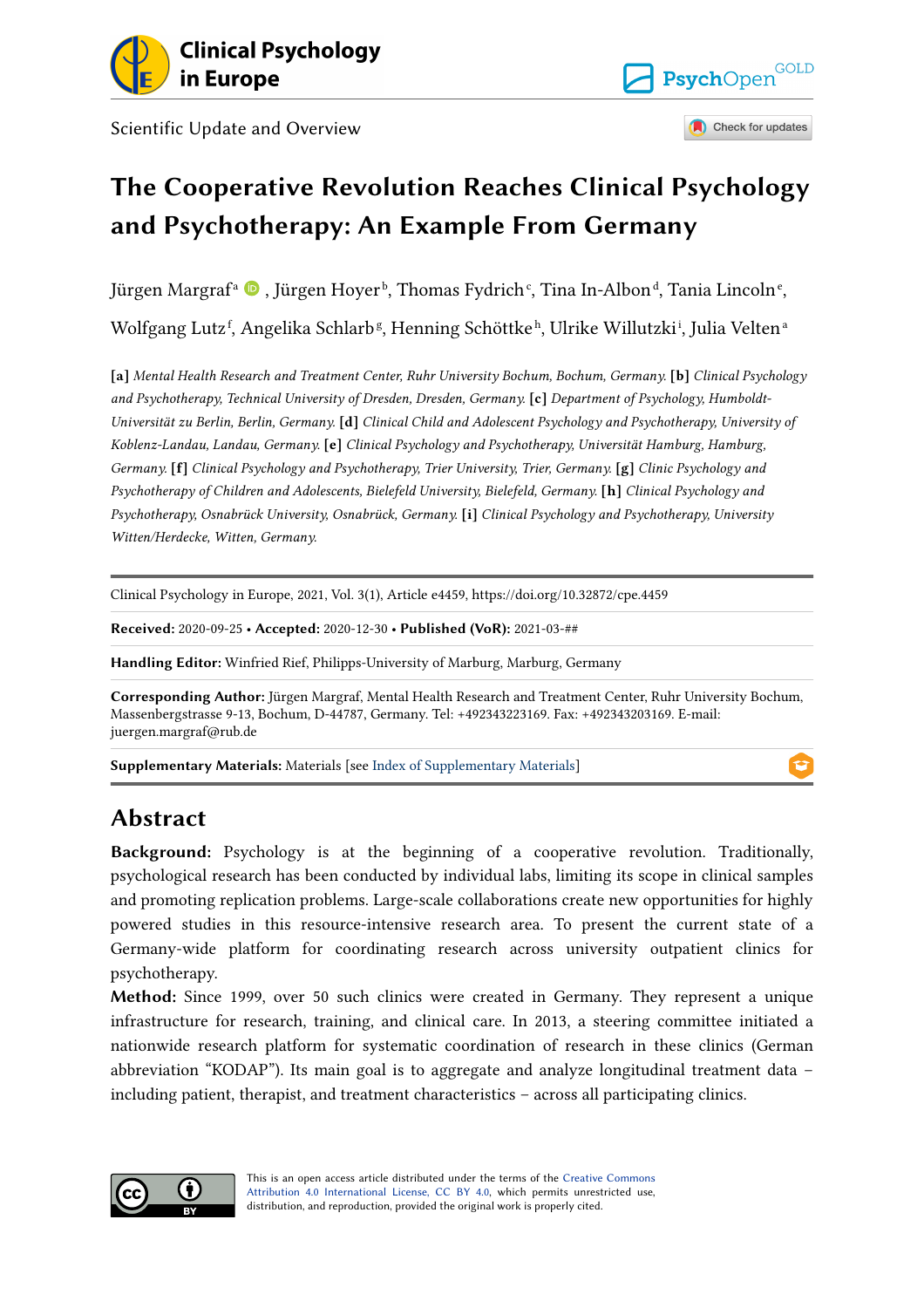

Scientific Update and Overview



Check for updates

Q

## **The Cooperative Revolution Reaches Clinical Psychology and Psychotherapy: An Example From Germany**

Jürgen Margraf<sup>a</sup> © , Jürgen Hoyer<sup>ь</sup>, Thomas Fydrich<sup>c</sup>, Tina In-Albon<sup>d</sup>, Tania Lincoln<sup>e</sup>, Wolfgang Lutz<sup>f</sup>, Angelika Schlarb<sup>g</sup>, Henning Schöttkeʰ, Ulrike Willutzkiʲ, Julia Veltenª

**[a]** *Mental Health Research and Treatment Center, Ruhr University Bochum, Bochum, Germany.* **[b]** *Clinical Psychology and Psychotherapy, Technical University of Dresden, Dresden, Germany.* **[c]** *Department of Psychology, Humboldt-Universität zu Berlin, Berlin, Germany.* **[d]** *Clinical Child and Adolescent Psychology and Psychotherapy, University of Koblenz-Landau, Landau, Germany.* **[e]** *Clinical Psychology and Psychotherapy, Universität Hamburg, Hamburg, Germany.* **[f]** *Clinical Psychology and Psychotherapy, Trier University, Trier, Germany.* **[g]** *Clinic Psychology and Psychotherapy of Children and Adolescents, Bielefeld University, Bielefeld, Germany.* **[h]** *Clinical Psychology and Psychotherapy, Osnabrück University, Osnabrück, Germany.* **[i]** *Clinical Psychology and Psychotherapy, University Witten/Herdecke, Witten, Germany.* 

Clinical Psychology in Europe, 2021, Vol. 3(1), Article e4459, https://doi.org/10.32872/cpe.4459

**Received:** 2020-09-25 • **Accepted:** 2020-12-30 • **Published (VoR):** 2021-03-##

**Handling Editor:** Winfried Rief, Philipps-University of Marburg, Marburg, Germany

**Corresponding Author:** Jürgen Margraf, Mental Health Research and Treatment Center, Ruhr University Bochum, Massenbergstrasse 9-13, Bochum, D-44787, Germany. Tel: +492343223169. Fax: +492343203169. E-mail: juergen.margraf@rub.de

**Supplementary Materials:** Materials [see Index of Supplementary Materials]

## **Abstract**

**Background:** Psychology is at the beginning of a cooperative revolution. Traditionally, psychological research has been conducted by individual labs, limiting its scope in clinical samples and promoting replication problems. Large-scale collaborations create new opportunities for highly powered studies in this resource-intensive research area. To present the current state of a Germany-wide platform for coordinating research across university outpatient clinics for psychotherapy.

**Method:** Since 1999, over 50 such clinics were created in Germany. They represent a unique infrastructure for research, training, and clinical care. In 2013, a steering committee initiated a nationwide research platform for systematic coordination of research in these clinics (German abbreviation "KODAP"). Its main goal is to aggregate and analyze longitudinal treatment data  $$ including patient, therapist, and treatment characteristics – across all participating clinics.



This is an open access article distributed under the terms of the Creative Commons Attribution 4.0 International License, CC BY 4.0, which permits unrestricted use, distribution, and reproduction, provided the original work is properly cited.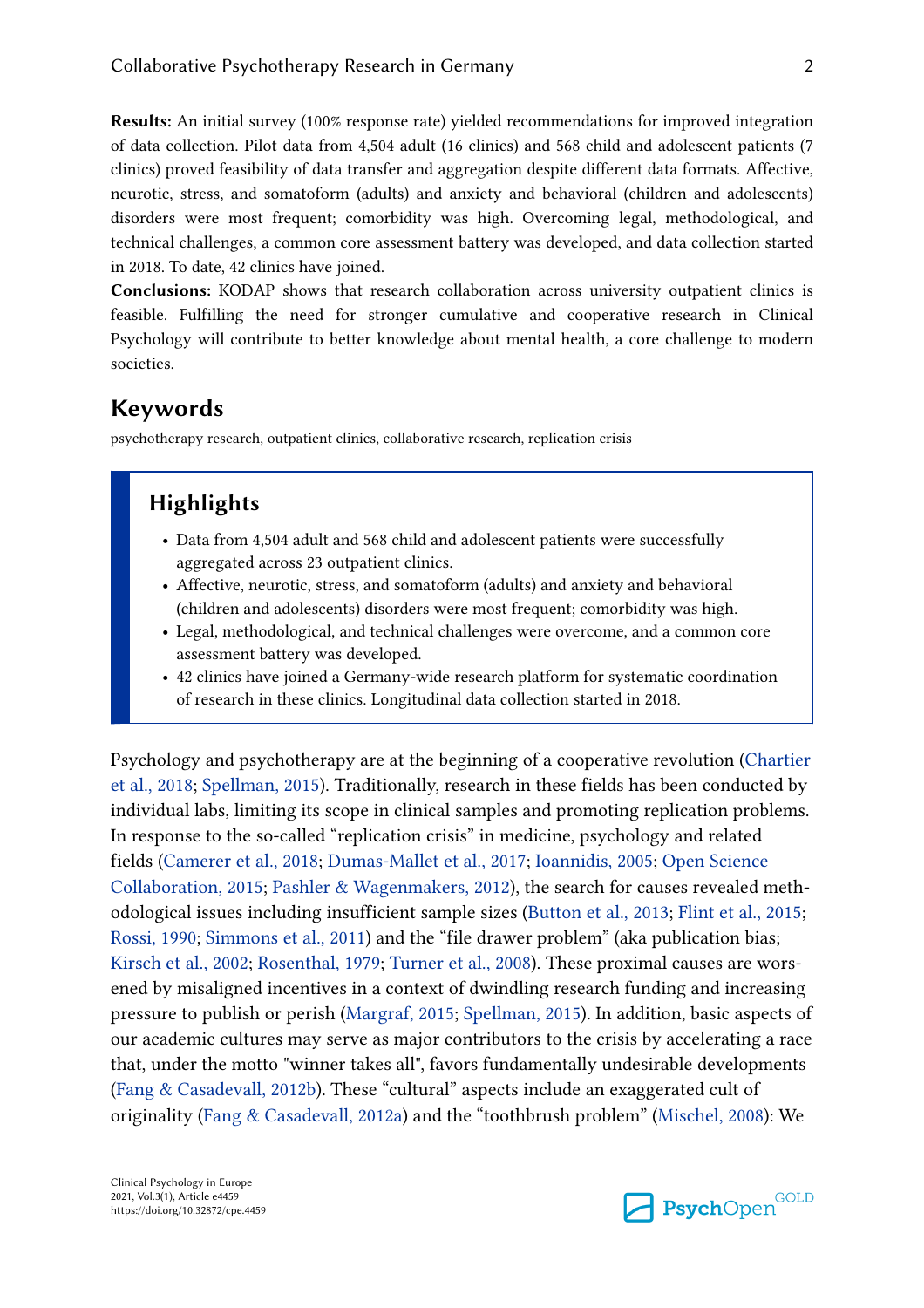**Results:** An initial survey (100% response rate) yielded recommendations for improved integration of data collection. Pilot data from 4,504 adult (16 clinics) and 568 child and adolescent patients (7 clinics) proved feasibility of data transfer and aggregation despite different data formats. Affective, neurotic, stress, and somatoform (adults) and anxiety and behavioral (children and adolescents) disorders were most frequent; comorbidity was high. Overcoming legal, methodological, and technical challenges, a common core assessment battery was developed, and data collection started in 2018. To date, 42 clinics have joined.

**Conclusions:** KODAP shows that research collaboration across university outpatient clinics is feasible. Fulfilling the need for stronger cumulative and cooperative research in Clinical Psychology will contribute to better knowledge about mental health, a core challenge to modern societies.

## **Keywords**

psychotherapy research, outpatient clinics, collaborative research, replication crisis

## **Highlights**

- **•** Data from 4,504 adult and 568 child and adolescent patients were successfully aggregated across 23 outpatient clinics.
- **•** Affective, neurotic, stress, and somatoform (adults) and anxiety and behavioral (children and adolescents) disorders were most frequent; comorbidity was high.
- **•** Legal, methodological, and technical challenges were overcome, and a common core assessment battery was developed.
- **•** 42 clinics have joined a Germany-wide research platform for systematic coordination of research in these clinics. Longitudinal data collection started in 2018.

Psychology and psychotherapy are at the beginning of a cooperative revolution (Chartier et al., 2018; Spellman, 2015). Traditionally, research in these fields has been conducted by individual labs, limiting its scope in clinical samples and promoting replication problems. In response to the so-called "replication crisis" in medicine, psychology and related fields (Camerer et al., 2018; Dumas-Mallet et al., 2017; Ioannidis, 2005; Open Science Collaboration, 2015; Pashler & Wagenmakers, 2012), the search for causes revealed methodological issues including insufficient sample sizes (Button et al., 2013; Flint et al., 2015; Rossi, 1990; Simmons et al., 2011) and the "file drawer problem" (aka publication bias; Kirsch et al., 2002; Rosenthal, 1979; Turner et al., 2008). These proximal causes are worsened by misaligned incentives in a context of dwindling research funding and increasing pressure to publish or perish (Margraf, 2015; Spellman, 2015). In addition, basic aspects of our academic cultures may serve as major contributors to the crisis by accelerating a race that, under the motto "winner takes all", favors fundamentally undesirable developments (Fang & Casadevall, 2012b). These "cultural" aspects include an exaggerated cult of originality (Fang & Casadevall, 2012a) and the "toothbrush problem" (Mischel, 2008): We

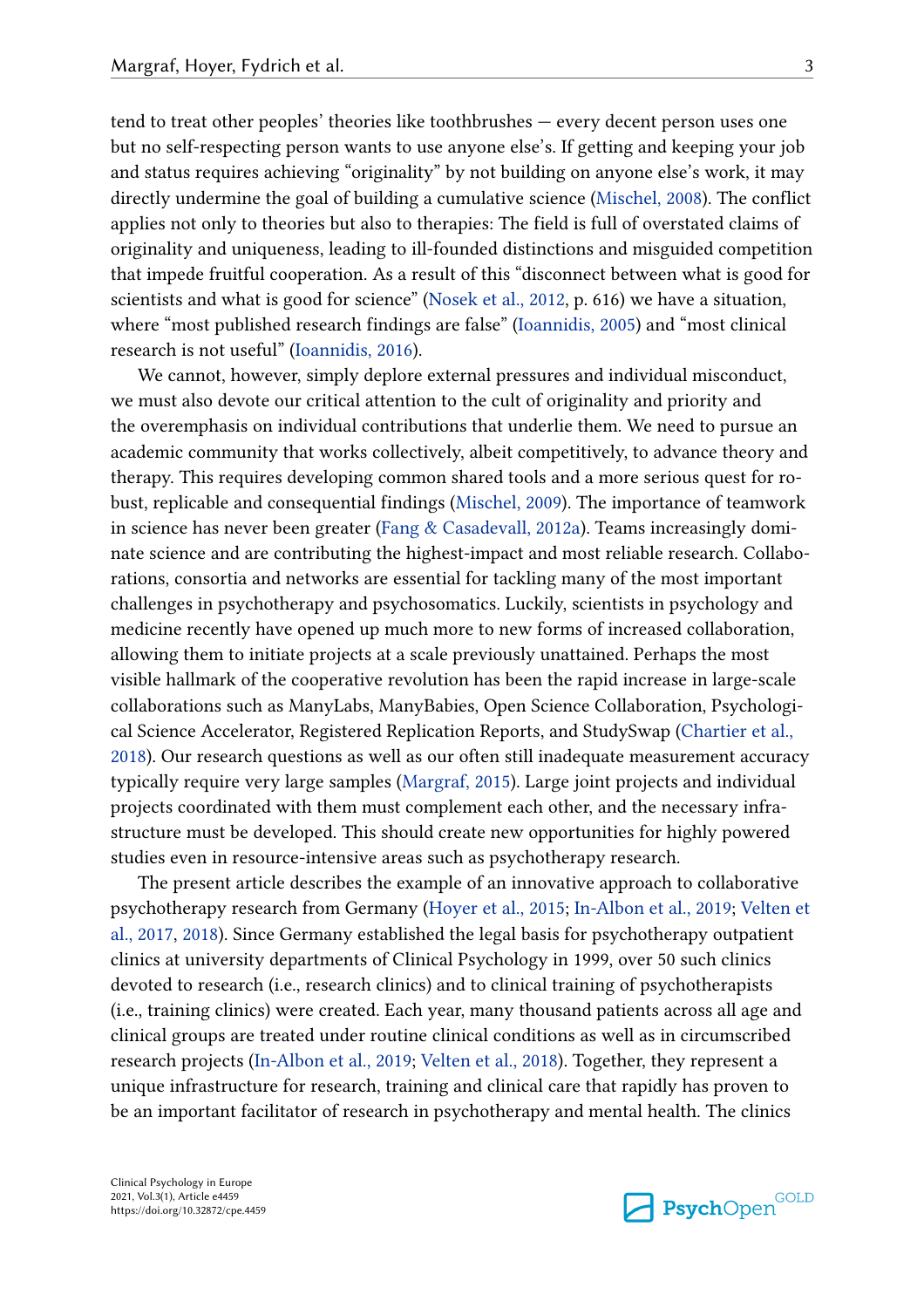tend to treat other peoples' theories like toothbrushes — every decent person uses one but no self-respecting person wants to use anyone else's. If getting and keeping your job and status requires achieving "originality" by not building on anyone else's work, it may directly undermine the goal of building a cumulative science (Mischel, 2008). The conflict applies not only to theories but also to therapies: The field is full of overstated claims of originality and uniqueness, leading to ill-founded distinctions and misguided competition that impede fruitful cooperation. As a result of this "disconnect between what is good for scientists and what is good for science" (Nosek et al., 2012, p. 616) we have a situation, where "most published research findings are false" (Ioannidis, 2005) and "most clinical research is not useful" (Ioannidis, 2016).

We cannot, however, simply deplore external pressures and individual misconduct, we must also devote our critical attention to the cult of originality and priority and the overemphasis on individual contributions that underlie them. We need to pursue an academic community that works collectively, albeit competitively, to advance theory and therapy. This requires developing common shared tools and a more serious quest for robust, replicable and consequential findings (Mischel, 2009). The importance of teamwork in science has never been greater (Fang & Casadevall, 2012a). Teams increasingly dominate science and are contributing the highest-impact and most reliable research. Collaborations, consortia and networks are essential for tackling many of the most important challenges in psychotherapy and psychosomatics. Luckily, scientists in psychology and medicine recently have opened up much more to new forms of increased collaboration, allowing them to initiate projects at a scale previously unattained. Perhaps the most visible hallmark of the cooperative revolution has been the rapid increase in large-scale collaborations such as ManyLabs, ManyBabies, Open Science Collaboration, Psychological Science Accelerator, Registered Replication Reports, and StudySwap (Chartier et al., 2018). Our research questions as well as our often still inadequate measurement accuracy typically require very large samples (Margraf, 2015). Large joint projects and individual projects coordinated with them must complement each other, and the necessary infrastructure must be developed. This should create new opportunities for highly powered studies even in resource-intensive areas such as psychotherapy research.

The present article describes the example of an innovative approach to collaborative psychotherapy research from Germany (Hoyer et al., 2015; In-Albon et al., 2019; Velten et al., 2017, 2018). Since Germany established the legal basis for psychotherapy outpatient clinics at university departments of Clinical Psychology in 1999, over 50 such clinics devoted to research (i.e., research clinics) and to clinical training of psychotherapists (i.e., training clinics) were created. Each year, many thousand patients across all age and clinical groups are treated under routine clinical conditions as well as in circumscribed research projects (In-Albon et al., 2019; Velten et al., 2018). Together, they represent a unique infrastructure for research, training and clinical care that rapidly has proven to be an important facilitator of research in psychotherapy and mental health. The clinics

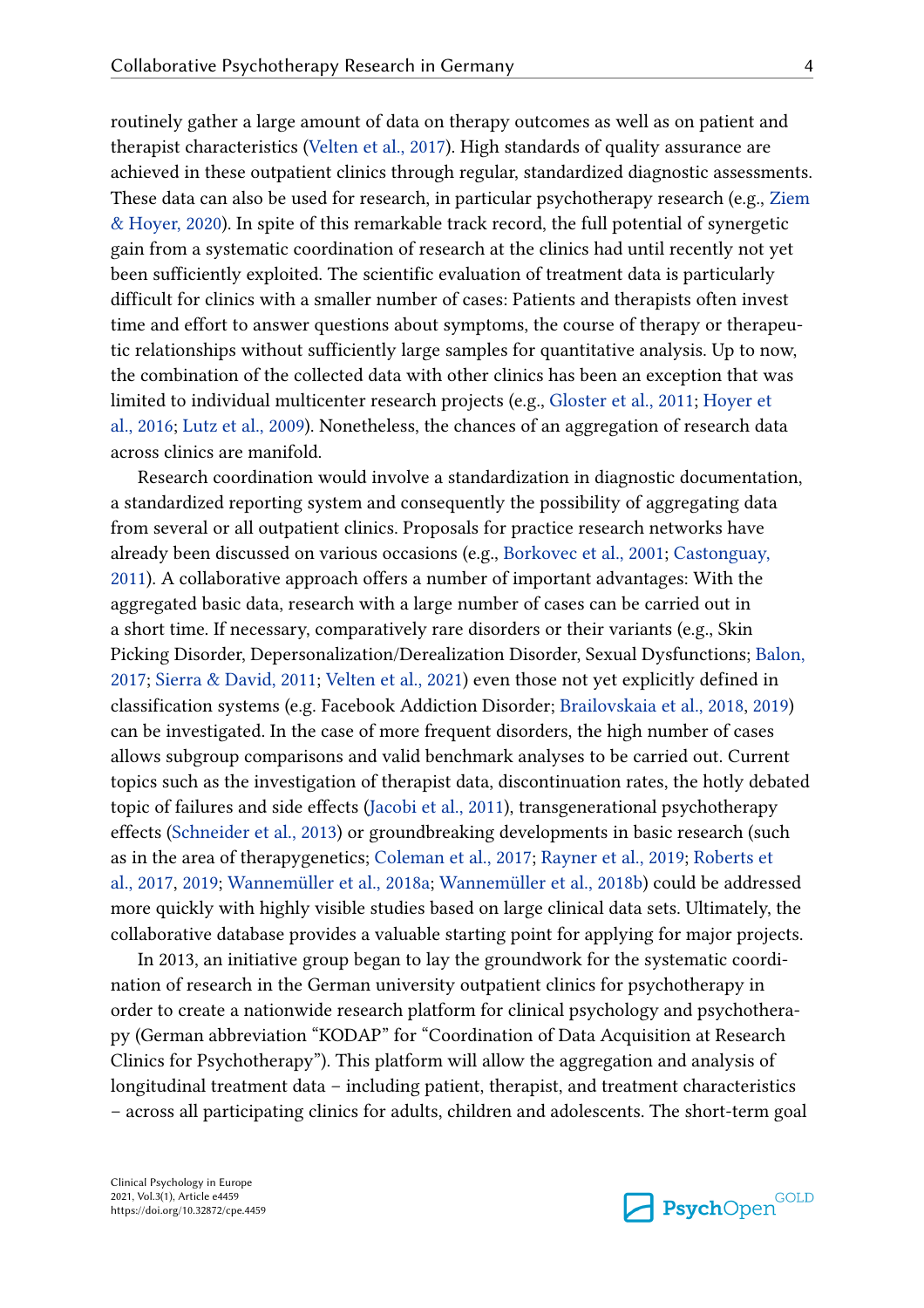routinely gather a large amount of data on therapy outcomes as well as on patient and therapist characteristics (Velten et al., 2017). High standards of quality assurance are achieved in these outpatient clinics through regular, standardized diagnostic assessments. These data can also be used for research, in particular psychotherapy research (e.g., Ziem & Hoyer, 2020). In spite of this remarkable track record, the full potential of synergetic gain from a systematic coordination of research at the clinics had until recently not yet been sufficiently exploited. The scientific evaluation of treatment data is particularly difficult for clinics with a smaller number of cases: Patients and therapists often invest time and effort to answer questions about symptoms, the course of therapy or therapeutic relationships without sufficiently large samples for quantitative analysis. Up to now, the combination of the collected data with other clinics has been an exception that was limited to individual multicenter research projects (e.g., Gloster et al., 2011; Hoyer et al., 2016; Lutz et al., 2009). Nonetheless, the chances of an aggregation of research data across clinics are manifold.

Research coordination would involve a standardization in diagnostic documentation, a standardized reporting system and consequently the possibility of aggregating data from several or all outpatient clinics. Proposals for practice research networks have already been discussed on various occasions (e.g., Borkovec et al., 2001; Castonguay, 2011). A collaborative approach offers a number of important advantages: With the aggregated basic data, research with a large number of cases can be carried out in a short time. If necessary, comparatively rare disorders or their variants (e.g., Skin Picking Disorder, Depersonalization/Derealization Disorder, Sexual Dysfunctions; Balon, 2017; Sierra & David, 2011; Velten et al., 2021) even those not yet explicitly defined in classification systems (e.g. Facebook Addiction Disorder; Brailovskaia et al., 2018, 2019) can be investigated. In the case of more frequent disorders, the high number of cases allows subgroup comparisons and valid benchmark analyses to be carried out. Current topics such as the investigation of therapist data, discontinuation rates, the hotly debated topic of failures and side effects (Jacobi et al., 2011), transgenerational psychotherapy effects (Schneider et al., 2013) or groundbreaking developments in basic research (such as in the area of therapygenetics; Coleman et al., 2017; Rayner et al., 2019; Roberts et al., 2017, 2019; Wannemüller et al., 2018a; Wannemüller et al., 2018b) could be addressed more quickly with highly visible studies based on large clinical data sets. Ultimately, the collaborative database provides a valuable starting point for applying for major projects.

In 2013, an initiative group began to lay the groundwork for the systematic coordination of research in the German university outpatient clinics for psychotherapy in order to create a nationwide research platform for clinical psychology and psychotherapy (German abbreviation "KODAP" for "Coordination of Data Acquisition at Research Clinics for Psychotherapy"). This platform will allow the aggregation and analysis of longitudinal treatment data – including patient, therapist, and treatment characteristics – across all participating clinics for adults, children and adolescents. The short-term goal

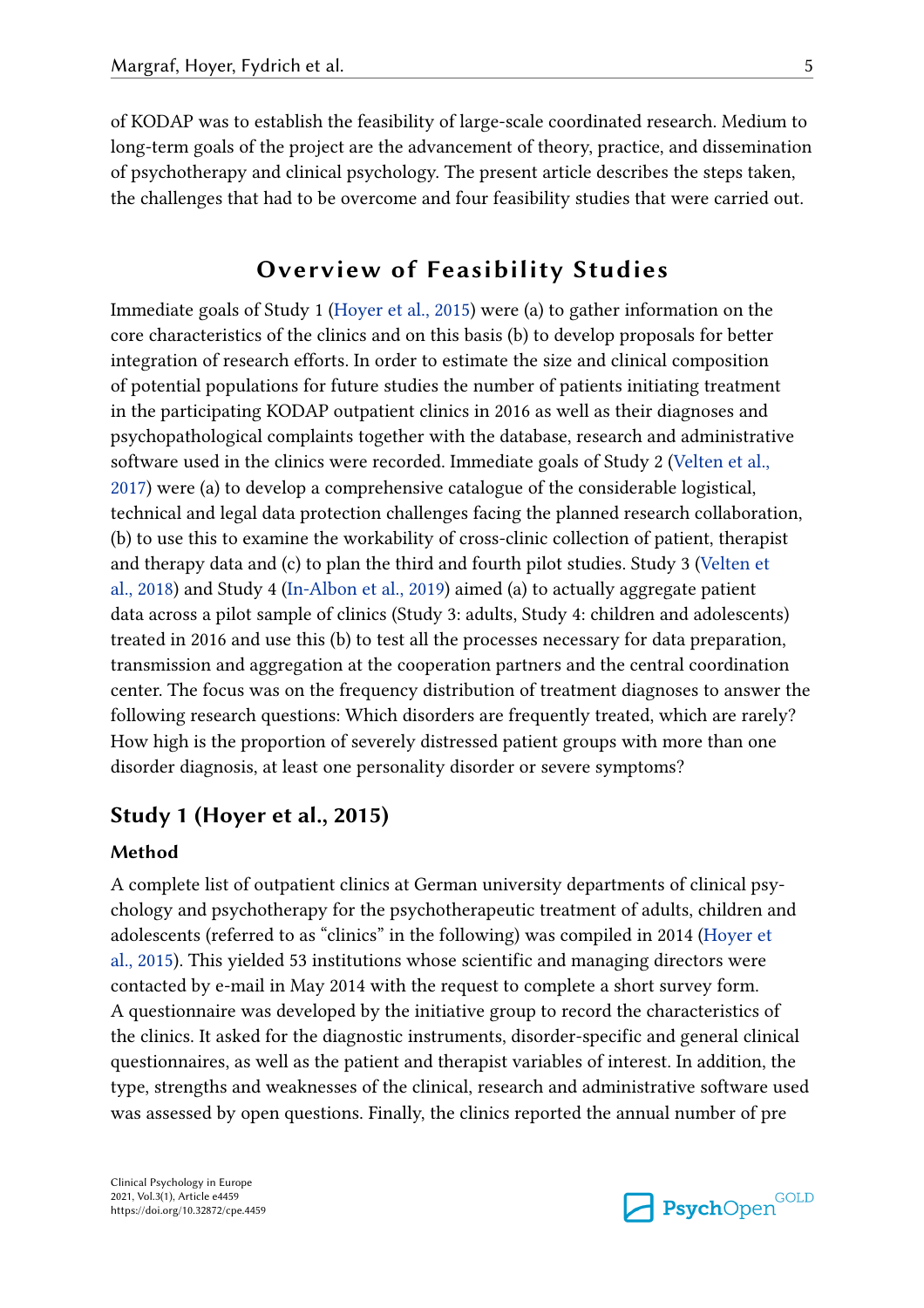of KODAP was to establish the feasibility of large-scale coordinated research. Medium to long-term goals of the project are the advancement of theory, practice, and dissemination of psychotherapy and clinical psychology. The present article describes the steps taken, the challenges that had to be overcome and four feasibility studies that were carried out.

## **Overview of Feasibility Studies**

Immediate goals of Study 1 (Hoyer et al., 2015) were (a) to gather information on the core characteristics of the clinics and on this basis (b) to develop proposals for better integration of research efforts. In order to estimate the size and clinical composition of potential populations for future studies the number of patients initiating treatment in the participating KODAP outpatient clinics in 2016 as well as their diagnoses and psychopathological complaints together with the database, research and administrative software used in the clinics were recorded. Immediate goals of Study 2 (Velten et al., 2017) were (a) to develop a comprehensive catalogue of the considerable logistical, technical and legal data protection challenges facing the planned research collaboration, (b) to use this to examine the workability of cross-clinic collection of patient, therapist and therapy data and (c) to plan the third and fourth pilot studies. Study 3 (Velten et al., 2018) and Study 4 (In-Albon et al., 2019) aimed (a) to actually aggregate patient data across a pilot sample of clinics (Study 3: adults, Study 4: children and adolescents) treated in 2016 and use this (b) to test all the processes necessary for data preparation, transmission and aggregation at the cooperation partners and the central coordination center. The focus was on the frequency distribution of treatment diagnoses to answer the following research questions: Which disorders are frequently treated, which are rarely? How high is the proportion of severely distressed patient groups with more than one disorder diagnosis, at least one personality disorder or severe symptoms?

## **Study 1 (Hoyer et al., 2015)**

#### **Method**

A complete list of outpatient clinics at German university departments of clinical psychology and psychotherapy for the psychotherapeutic treatment of adults, children and adolescents (referred to as "clinics" in the following) was compiled in 2014 (Hoyer et al., 2015). This yielded 53 institutions whose scientific and managing directors were contacted by e-mail in May 2014 with the request to complete a short survey form. A questionnaire was developed by the initiative group to record the characteristics of the clinics. It asked for the diagnostic instruments, disorder-specific and general clinical questionnaires, as well as the patient and therapist variables of interest. In addition, the type, strengths and weaknesses of the clinical, research and administrative software used was assessed by open questions. Finally, the clinics reported the annual number of pre

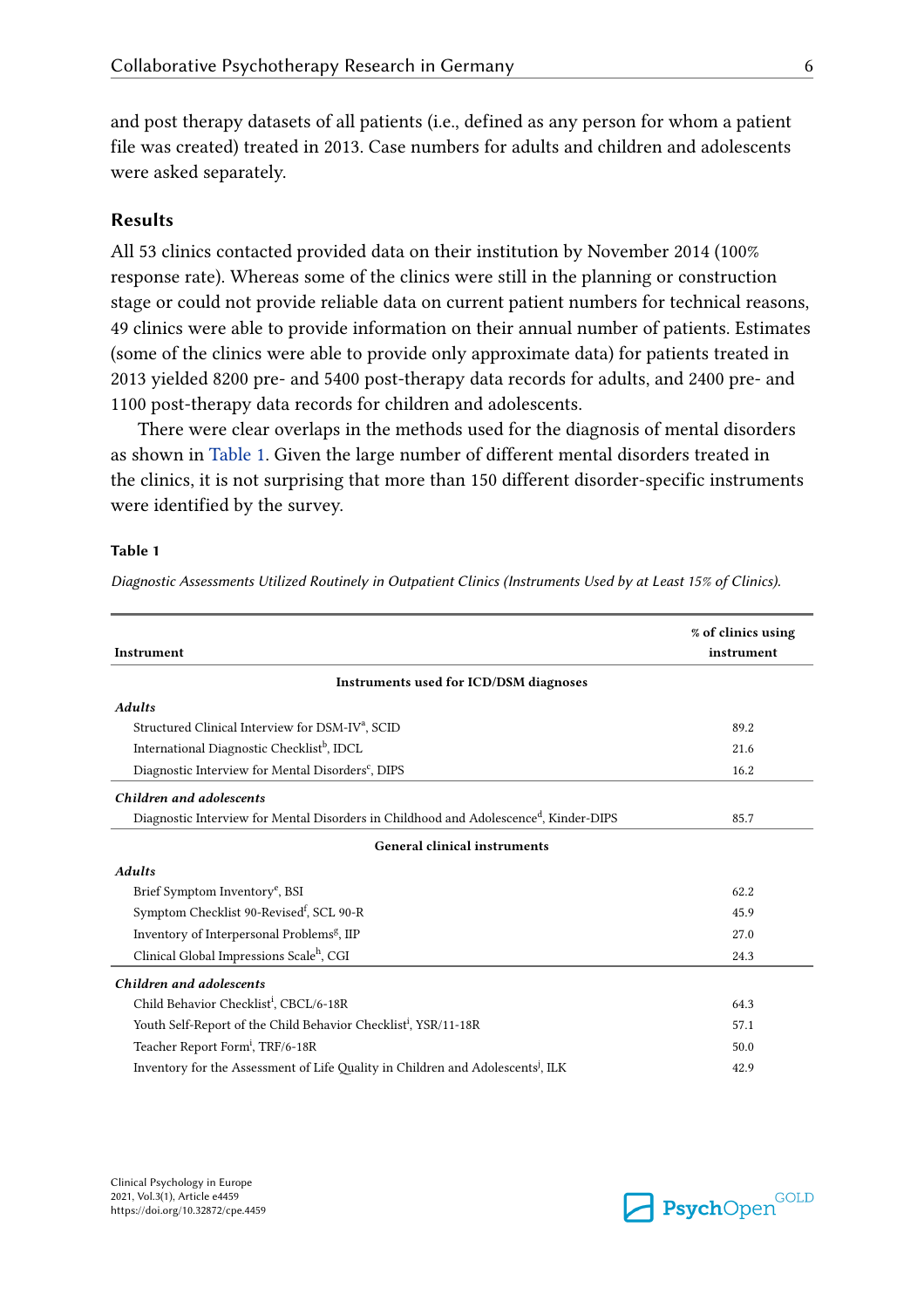and post therapy datasets of all patients (i.e., defined as any person for whom a patient file was created) treated in 2013. Case numbers for adults and children and adolescents were asked separately.

#### **Results**

All 53 clinics contacted provided data on their institution by November 2014 (100% response rate). Whereas some of the clinics were still in the planning or construction stage or could not provide reliable data on current patient numbers for technical reasons, 49 clinics were able to provide information on their annual number of patients. Estimates (some of the clinics were able to provide only approximate data) for patients treated in 2013 yielded 8200 pre- and 5400 post-therapy data records for adults, and 2400 pre- and 1100 post-therapy data records for children and adolescents.

There were clear overlaps in the methods used for the diagnosis of mental disorders as shown in Table 1. Given the large number of different mental disorders treated in the clinics, it is not surprising that more than 150 different disorder-specific instruments were identified by the survey.

#### **Table 1**

*Diagnostic Assessments Utilized Routinely in Outpatient Clinics (Instruments Used by at Least 15% of Clinics).*

| Instrument                                                                                        | % of clinics using<br>instrument |
|---------------------------------------------------------------------------------------------------|----------------------------------|
|                                                                                                   |                                  |
| Instruments used for ICD/DSM diagnoses                                                            |                                  |
| <b>Adults</b>                                                                                     |                                  |
| Structured Clinical Interview for DSM-IV <sup>a</sup> , SCID                                      | 89.2                             |
| International Diagnostic Checklist <sup>b</sup> , IDCL                                            | 21.6                             |
| Diagnostic Interview for Mental Disorders <sup>c</sup> , DIPS                                     | 16.2                             |
| Children and adolescents                                                                          |                                  |
| Diagnostic Interview for Mental Disorders in Childhood and Adolescence <sup>d</sup> , Kinder-DIPS | 85.7                             |
| General clinical instruments                                                                      |                                  |
| <b>Adults</b>                                                                                     |                                  |
| Brief Symptom Inventory <sup>e</sup> , BSI                                                        | 62.2                             |
| Symptom Checklist 90-Revised <sup>f</sup> , SCL 90-R                                              | 45.9                             |
| Inventory of Interpersonal Problems <sup>g</sup> , IIP                                            | 27.0                             |
| Clinical Global Impressions Scale <sup>h</sup> , CGI                                              | 24.3                             |
| Children and adolescents                                                                          |                                  |
| Child Behavior Checklist <sup>i</sup> , CBCL/6-18R                                                | 64.3                             |
| Youth Self-Report of the Child Behavior Checklist <sup>i</sup> , YSR/11-18R                       | 57.1                             |
| Teacher Report Form <sup>i</sup> , TRF/6-18R                                                      | 50.0                             |
| Inventory for the Assessment of Life Quality in Children and Adolescents <sup>1</sup> , ILK       | 42.9                             |

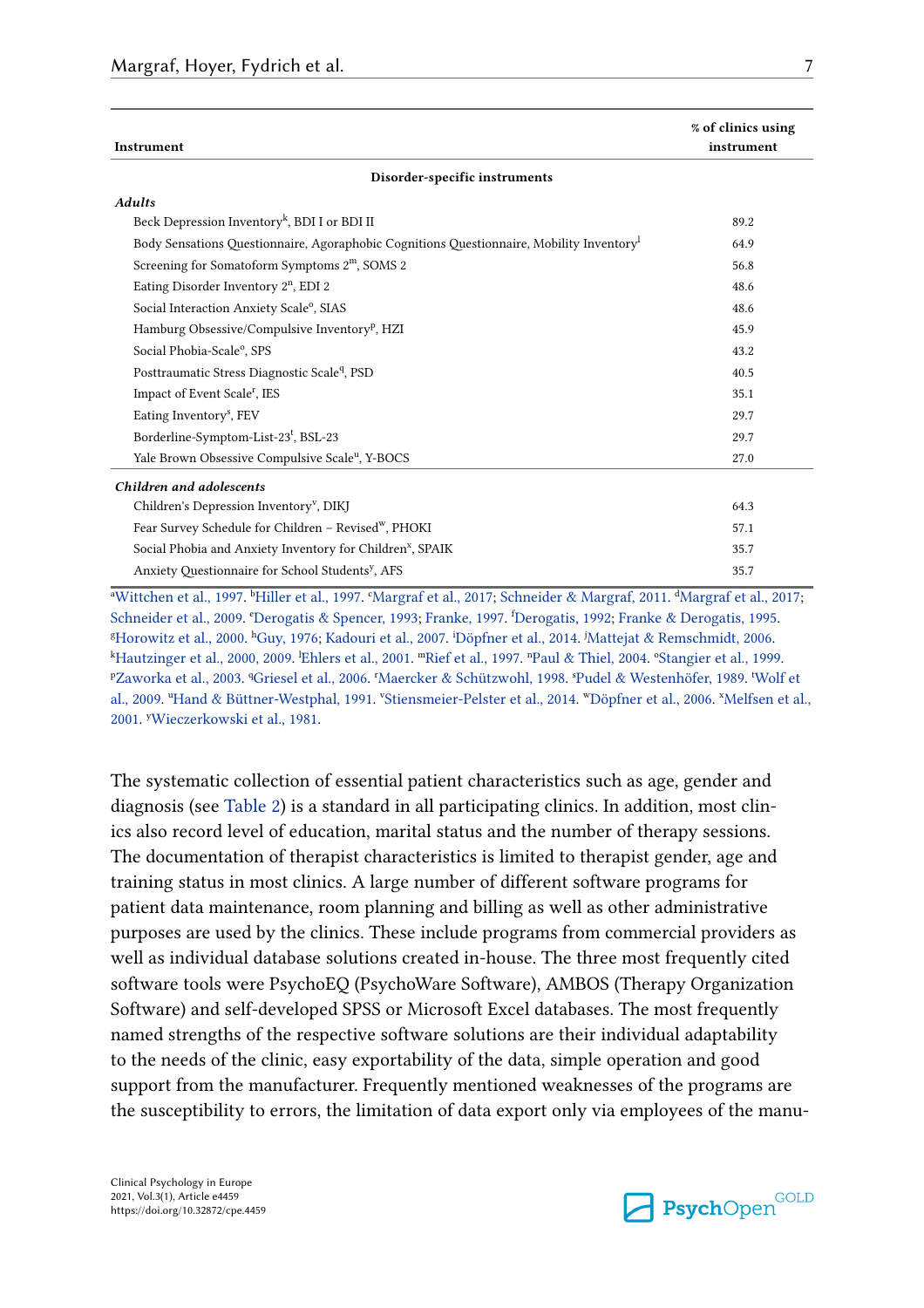| Instrument                                                                              | % of clinics using<br>instrument |  |  |  |
|-----------------------------------------------------------------------------------------|----------------------------------|--|--|--|
| Disorder-specific instruments                                                           |                                  |  |  |  |
| <b>Adults</b>                                                                           |                                  |  |  |  |
| Beck Depression Inventory <sup>k</sup> , BDI I or BDI II                                | 89.2                             |  |  |  |
| Body Sensations Questionnaire, Agoraphobic Cognitions Questionnaire, Mobility Inventory | 64.9                             |  |  |  |
| Screening for Somatoform Symptoms 2 <sup>m</sup> , SOMS 2                               | 56.8                             |  |  |  |
| Eating Disorder Inventory 2 <sup>n</sup> , EDI 2                                        | 48.6                             |  |  |  |
| Social Interaction Anxiety Scale <sup>o</sup> , SIAS                                    | 48.6                             |  |  |  |
| Hamburg Obsessive/Compulsive Inventory <sup>p</sup> , HZI                               | 45.9                             |  |  |  |
| Social Phobia-Scale <sup>o</sup> , SPS                                                  | 43.2                             |  |  |  |
| Posttraumatic Stress Diagnostic Scale <sup>q</sup> , PSD                                | 40.5                             |  |  |  |
| Impact of Event Scale <sup>r</sup> , IES                                                | 35.1                             |  |  |  |
| Eating Inventory <sup>s</sup> , FEV                                                     | 29.7                             |  |  |  |
| Borderline-Symptom-List-23 <sup>t</sup> , BSL-23                                        | 29.7                             |  |  |  |
| Yale Brown Obsessive Compulsive Scale <sup>u</sup> , Y-BOCS                             | 27.0                             |  |  |  |
| Children and adolescents                                                                |                                  |  |  |  |
| Children's Depression Inventory <sup>v</sup> , DIKJ                                     | 64.3                             |  |  |  |
| Fear Survey Schedule for Children - Revised <sup>w</sup> , PHOKI                        | 57.1                             |  |  |  |
| Social Phobia and Anxiety Inventory for Children <sup>x</sup> , SPAIK                   | 35.7                             |  |  |  |
| Anxiety Questionnaire for School Students <sup>y</sup> , AFS                            | 35.7                             |  |  |  |

<sup>a</sup>Wittchen et al., 1997. <sup>b</sup>Hiller et al., 1997. °Margraf et al., 2017; Schneider & Margraf, 2011. <sup>4</sup>Margraf et al., 2017; Schneider et al., 2009. <sup>e</sup>Derogatis & Spencer, 1993; Franke, 1997. <sup>f</sup>Derogatis, 1992; Franke & Derogatis, 1995.<br>Herowitz et al., 2000. <sup>h</sup>Guy, 1976: Kadouri et al., 2007. iDöpfner et al., 2014. iMatteiat & Remschmidt, 20 <sup>g</sup>Horowitz et al., 2000. <sup>h</sup>Guy, 1976; Kadouri et al., 2007. Döpfner et al., 2014. <sup>j</sup>Mattejat & Remschmidt, 2006.<br><sup>k</sup>Hautzinger et al., 2000. 2009. <sup>l</sup>Eblers et al., 2001. inRief et al., 1997. <sup>n</sup>Paul & Thiel, 2004. °Sta kHautzinger et al., 2000, 2009. <sup>I</sup>Ehlers et al., 2001. ™Rief et al., 1997. ™Paul & Thiel, 2004. °Stangier et al., 1999.<br>PZaworka et al., 2003. ¶Griesel et al., 2006. "Maercker & Schützwohl, 1998. <sup>sp</sup>udel & Westenhöfer, 1 Zaworka et al., 2003. <sup>q</sup>Griesel et al., 2006. <sup>r</sup>Maercker & Schützwohl, 1998. <sup>s</sup>Pudel & Westenhöfer, 1989. 'Wolf et al., 2009. "Hand & Büttner-Westphal, 1991. 'Stiensmeier-Pelster et al., 2014. "Döpfner et al., 2006. "Melfsen et al., 2001. y Wieczerkowski et al., 1981.

The systematic collection of essential patient characteristics such as age, gender and diagnosis (see Table 2) is a standard in all participating clinics. In addition, most clinics also record level of education, marital status and the number of therapy sessions. The documentation of therapist characteristics is limited to therapist gender, age and training status in most clinics. A large number of different software programs for patient data maintenance, room planning and billing as well as other administrative purposes are used by the clinics. These include programs from commercial providers as well as individual database solutions created in-house. The three most frequently cited software tools were PsychoEQ (PsychoWare Software), AMBOS (Therapy Organization Software) and self-developed SPSS or Microsoft Excel databases. The most frequently named strengths of the respective software solutions are their individual adaptability to the needs of the clinic, easy exportability of the data, simple operation and good support from the manufacturer. Frequently mentioned weaknesses of the programs are the susceptibility to errors, the limitation of data export only via employees of the manu-

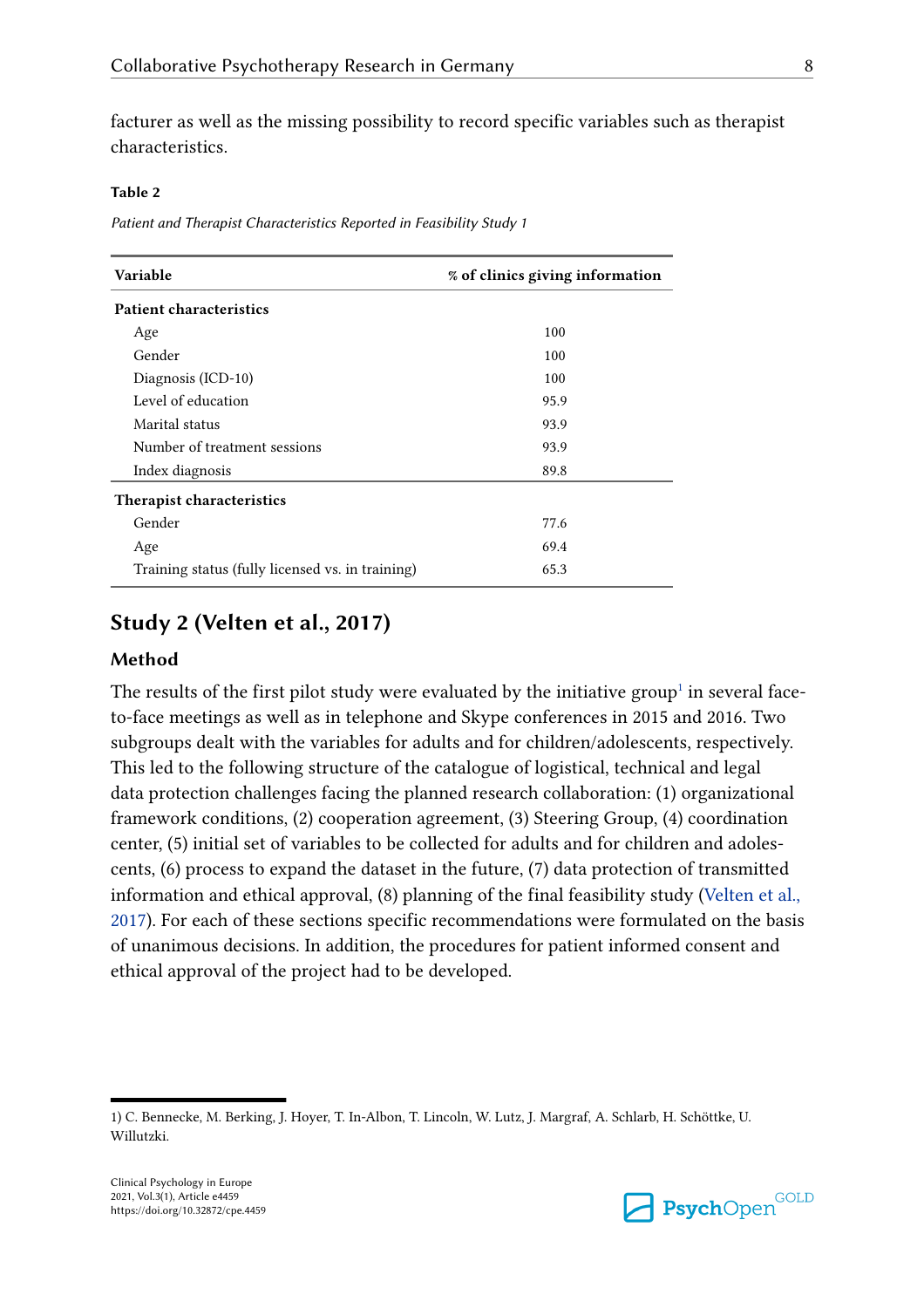facturer as well as the missing possibility to record specific variables such as therapist characteristics.

#### **Table 2**

*Patient and Therapist Characteristics Reported in Feasibility Study 1*

| Variable                                         | % of clinics giving information |  |  |
|--------------------------------------------------|---------------------------------|--|--|
| <b>Patient characteristics</b>                   |                                 |  |  |
| Age                                              | 100                             |  |  |
| Gender                                           | 100                             |  |  |
| Diagnosis (ICD-10)                               | 100                             |  |  |
| Level of education                               | 95.9                            |  |  |
| Marital status                                   | 93.9                            |  |  |
| Number of treatment sessions                     | 93.9                            |  |  |
| Index diagnosis                                  | 89.8                            |  |  |
| Therapist characteristics                        |                                 |  |  |
| Gender                                           | 77.6                            |  |  |
| Age                                              | 69.4                            |  |  |
| Training status (fully licensed vs. in training) | 65.3                            |  |  |

## **Study 2 (Velten et al., 2017)**

#### **Method**

The results of the first pilot study were evaluated by the initiative group<sup>1</sup> in several faceto-face meetings as well as in telephone and Skype conferences in 2015 and 2016. Two subgroups dealt with the variables for adults and for children/adolescents, respectively. This led to the following structure of the catalogue of logistical, technical and legal data protection challenges facing the planned research collaboration: (1) organizational framework conditions, (2) cooperation agreement, (3) Steering Group, (4) coordination center, (5) initial set of variables to be collected for adults and for children and adolescents, (6) process to expand the dataset in the future, (7) data protection of transmitted information and ethical approval, (8) planning of the final feasibility study (Velten et al., 2017). For each of these sections specific recommendations were formulated on the basis of unanimous decisions. In addition, the procedures for patient informed consent and ethical approval of the project had to be developed.



<sup>1)</sup> C. Bennecke, M. Berking, J. Hoyer, T. In-Albon, T. Lincoln, W. Lutz, J. Margraf, A. Schlarb, H. Schöttke, U. Willutzki.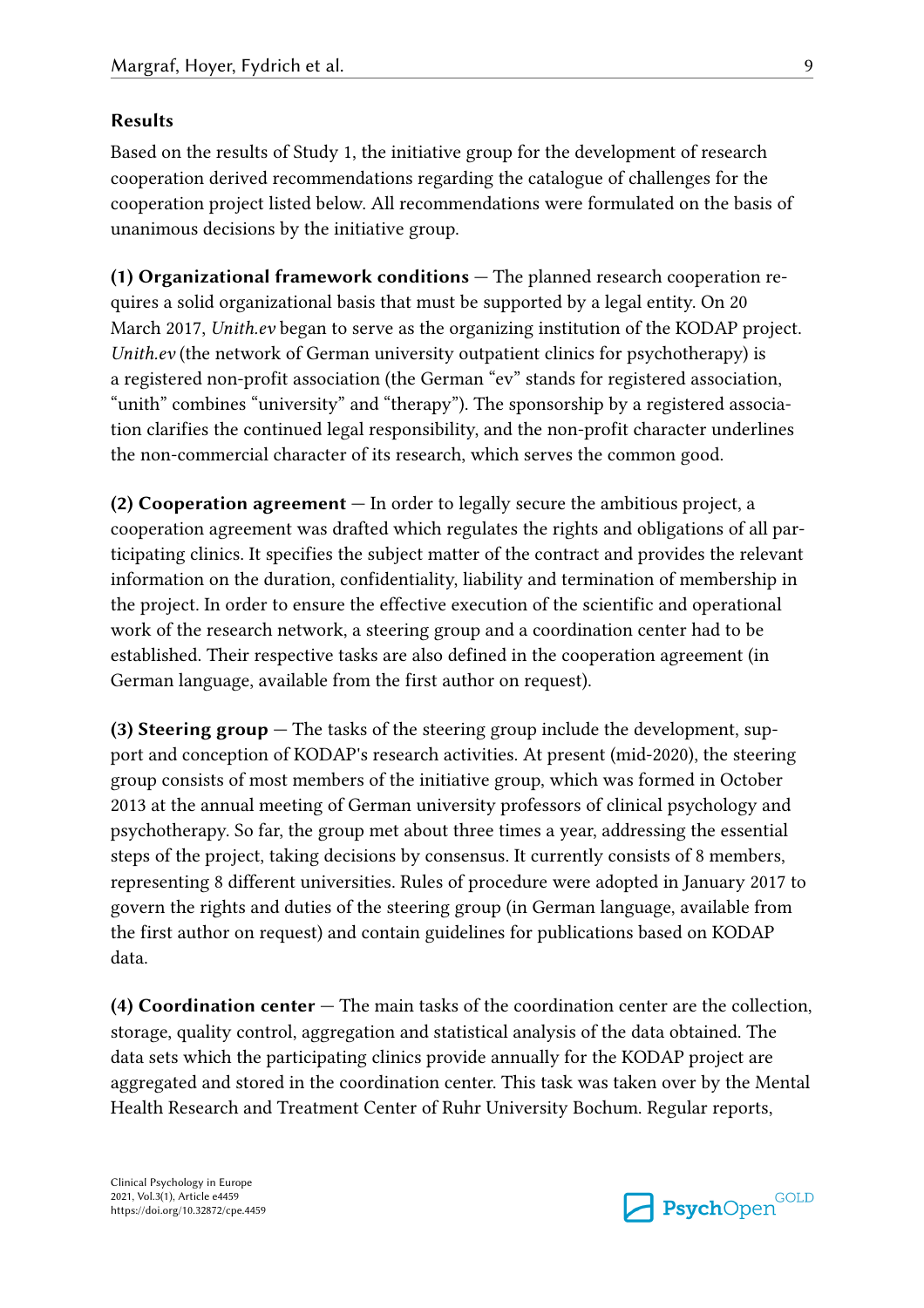#### **Results**

Based on the results of Study 1, the initiative group for the development of research cooperation derived recommendations regarding the catalogue of challenges for the cooperation project listed below. All recommendations were formulated on the basis of unanimous decisions by the initiative group.

**(1) Organizational framework conditions —** The planned research cooperation requires a solid organizational basis that must be supported by a legal entity. On 20 March 2017, *Unith.ev* began to serve as the organizing institution of the KODAP project. *Unith.ev* (the network of German university outpatient clinics for psychotherapy) is a registered non-profit association (the German "ev" stands for registered association, "unith" combines "university" and "therapy"). The sponsorship by a registered association clarifies the continued legal responsibility, and the non-profit character underlines the non-commercial character of its research, which serves the common good.

**(2) Cooperation agreement —** In order to legally secure the ambitious project, a cooperation agreement was drafted which regulates the rights and obligations of all participating clinics. It specifies the subject matter of the contract and provides the relevant information on the duration, confidentiality, liability and termination of membership in the project. In order to ensure the effective execution of the scientific and operational work of the research network, a steering group and a coordination center had to be established. Their respective tasks are also defined in the cooperation agreement (in German language, available from the first author on request).

**(3) Steering group —** The tasks of the steering group include the development, support and conception of KODAP's research activities. At present (mid-2020), the steering group consists of most members of the initiative group, which was formed in October 2013 at the annual meeting of German university professors of clinical psychology and psychotherapy. So far, the group met about three times a year, addressing the essential steps of the project, taking decisions by consensus. It currently consists of 8 members, representing 8 different universities. Rules of procedure were adopted in January 2017 to govern the rights and duties of the steering group (in German language, available from the first author on request) and contain guidelines for publications based on KODAP data.

**(4) Coordination center —** The main tasks of the coordination center are the collection, storage, quality control, aggregation and statistical analysis of the data obtained. The data sets which the participating clinics provide annually for the KODAP project are aggregated and stored in the coordination center. This task was taken over by the Mental Health Research and Treatment Center of Ruhr University Bochum. Regular reports,

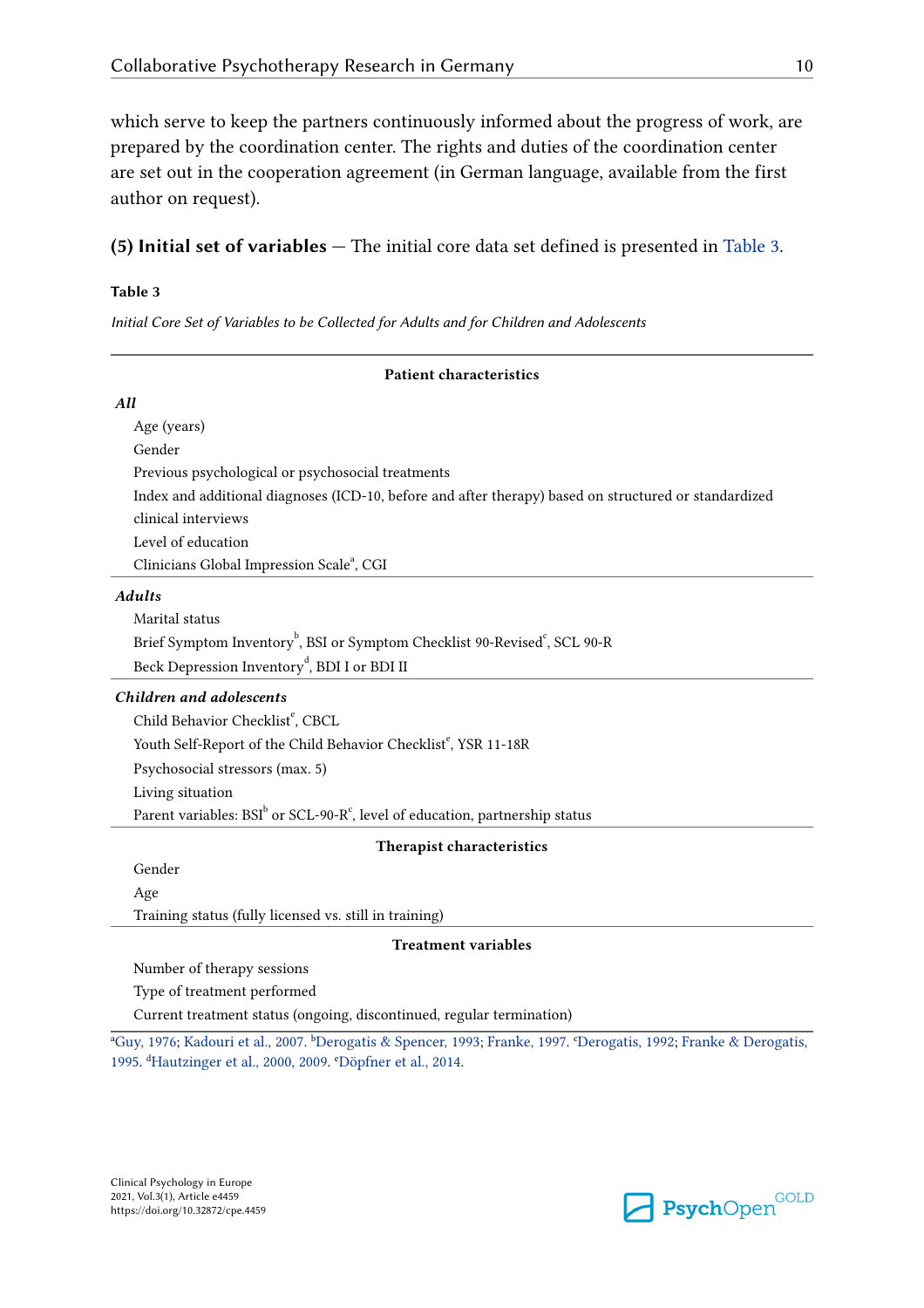which serve to keep the partners continuously informed about the progress of work, are prepared by the coordination center. The rights and duties of the coordination center are set out in the cooperation agreement (in German language, available from the first author on request).

**(5) Initial set of variables —** The initial core data set defined is presented in Table 3.

#### **Table 3**

*Initial Core Set of Variables to be Collected for Adults and for Children and Adolescents*

| <b>Patient characteristics</b>                                                                        |  |  |  |
|-------------------------------------------------------------------------------------------------------|--|--|--|
| All                                                                                                   |  |  |  |
| Age (years)                                                                                           |  |  |  |
| Gender                                                                                                |  |  |  |
| Previous psychological or psychosocial treatments                                                     |  |  |  |
| Index and additional diagnoses (ICD-10, before and after therapy) based on structured or standardized |  |  |  |
| clinical interviews                                                                                   |  |  |  |
| Level of education                                                                                    |  |  |  |
| Clinicians Global Impression Scale <sup>a</sup> , CGI                                                 |  |  |  |
| <b>Adults</b>                                                                                         |  |  |  |
| Marital status                                                                                        |  |  |  |
| Brief Symptom Inventory <sup>b</sup> , BSI or Symptom Checklist 90-Revised <sup>c</sup> , SCL 90-R    |  |  |  |
| Beck Depression Inventory <sup>d</sup> , BDI I or BDI II                                              |  |  |  |
| Children and adolescents                                                                              |  |  |  |
| Child Behavior Checklist <sup>e</sup> , CBCL                                                          |  |  |  |
| Youth Self-Report of the Child Behavior Checklist <sup>e</sup> , YSR 11-18R                           |  |  |  |
| Psychosocial stressors (max. 5)                                                                       |  |  |  |
| Living situation                                                                                      |  |  |  |
| Parent variables: $BSI^b$ or SCL-90-R <sup>c</sup> , level of education, partnership status           |  |  |  |
| Therapist characteristics                                                                             |  |  |  |
| Gender                                                                                                |  |  |  |
| Age                                                                                                   |  |  |  |

Training status (fully licensed vs. still in training)

#### **Treatment variables**

Number of therapy sessions

Type of treatment performed

Current treatment status (ongoing, discontinued, regular termination)

a Guy, 1976; Kadouri et al., 2007. b Derogatis & Spencer, 1993; Franke, 1997. c Derogatis, 1992; Franke & Derogatis, 1995. d Hautzinger et al., 2000, 2009. e Döpfner et al., 2014.

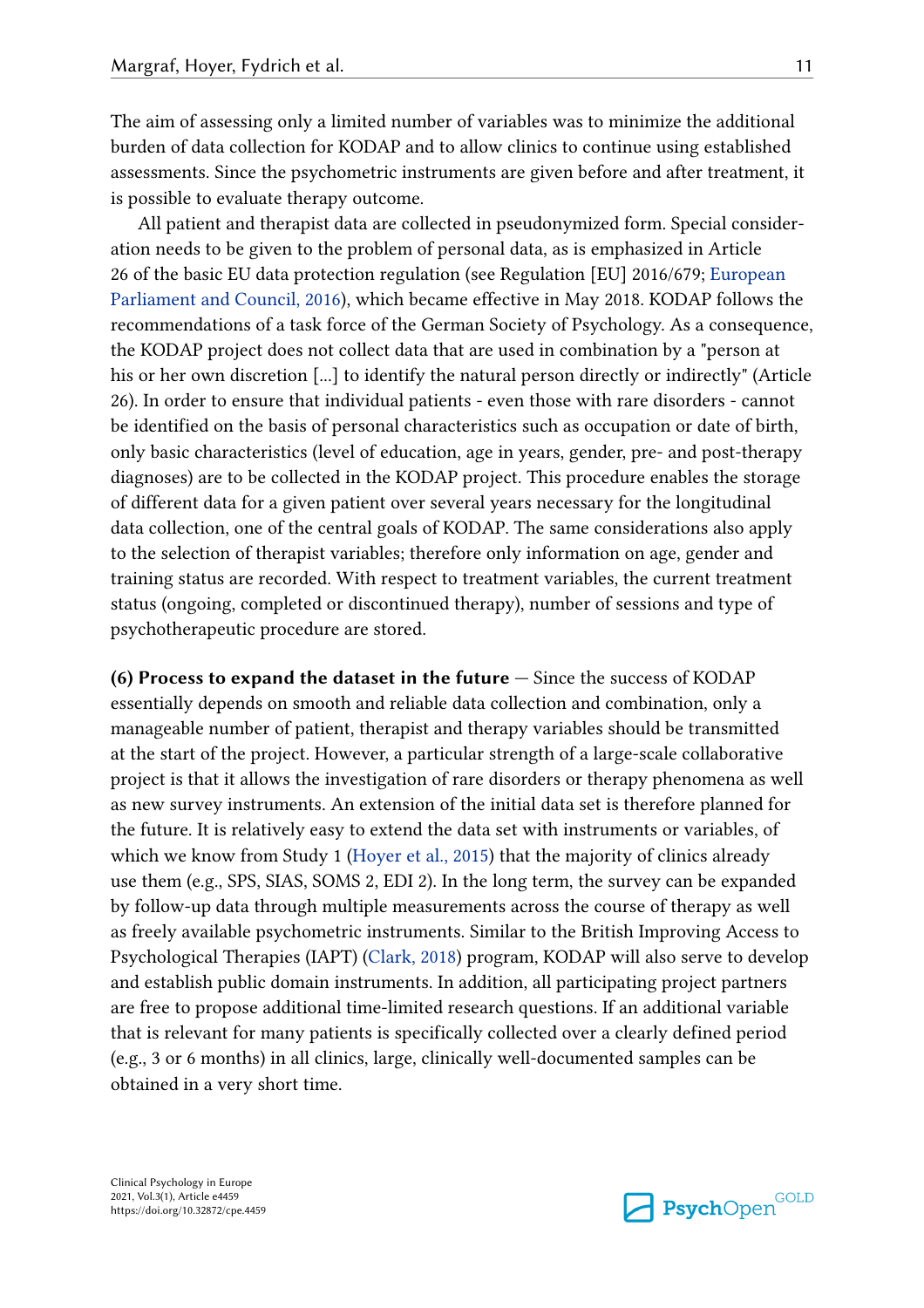The aim of assessing only a limited number of variables was to minimize the additional burden of data collection for KODAP and to allow clinics to continue using established assessments. Since the psychometric instruments are given before and after treatment, it is possible to evaluate therapy outcome.

All patient and therapist data are collected in pseudonymized form. Special consideration needs to be given to the problem of personal data, as is emphasized in Article 26 of the basic EU data protection regulation (see Regulation [EU] 2016/679; European Parliament and Council, 2016), which became effective in May 2018. KODAP follows the recommendations of a task force of the German Society of Psychology. As a consequence, the KODAP project does not collect data that are used in combination by a "person at his or her own discretion [...] to identify the natural person directly or indirectly" (Article 26). In order to ensure that individual patients - even those with rare disorders - cannot be identified on the basis of personal characteristics such as occupation or date of birth, only basic characteristics (level of education, age in years, gender, pre- and post-therapy diagnoses) are to be collected in the KODAP project. This procedure enables the storage of different data for a given patient over several years necessary for the longitudinal data collection, one of the central goals of KODAP. The same considerations also apply to the selection of therapist variables; therefore only information on age, gender and training status are recorded. With respect to treatment variables, the current treatment status (ongoing, completed or discontinued therapy), number of sessions and type of psychotherapeutic procedure are stored.

**(6) Process to expand the dataset in the future —** Since the success of KODAP essentially depends on smooth and reliable data collection and combination, only a manageable number of patient, therapist and therapy variables should be transmitted at the start of the project. However, a particular strength of a large-scale collaborative project is that it allows the investigation of rare disorders or therapy phenomena as well as new survey instruments. An extension of the initial data set is therefore planned for the future. It is relatively easy to extend the data set with instruments or variables, of which we know from Study 1 (Hoyer et al., 2015) that the majority of clinics already use them (e.g., SPS, SIAS, SOMS 2, EDI 2). In the long term, the survey can be expanded by follow-up data through multiple measurements across the course of therapy as well as freely available psychometric instruments. Similar to the British Improving Access to Psychological Therapies (IAPT) (Clark, 2018) program, KODAP will also serve to develop and establish public domain instruments. In addition, all participating project partners are free to propose additional time-limited research questions. If an additional variable that is relevant for many patients is specifically collected over a clearly defined period (e.g., 3 or 6 months) in all clinics, large, clinically well-documented samples can be obtained in a very short time.

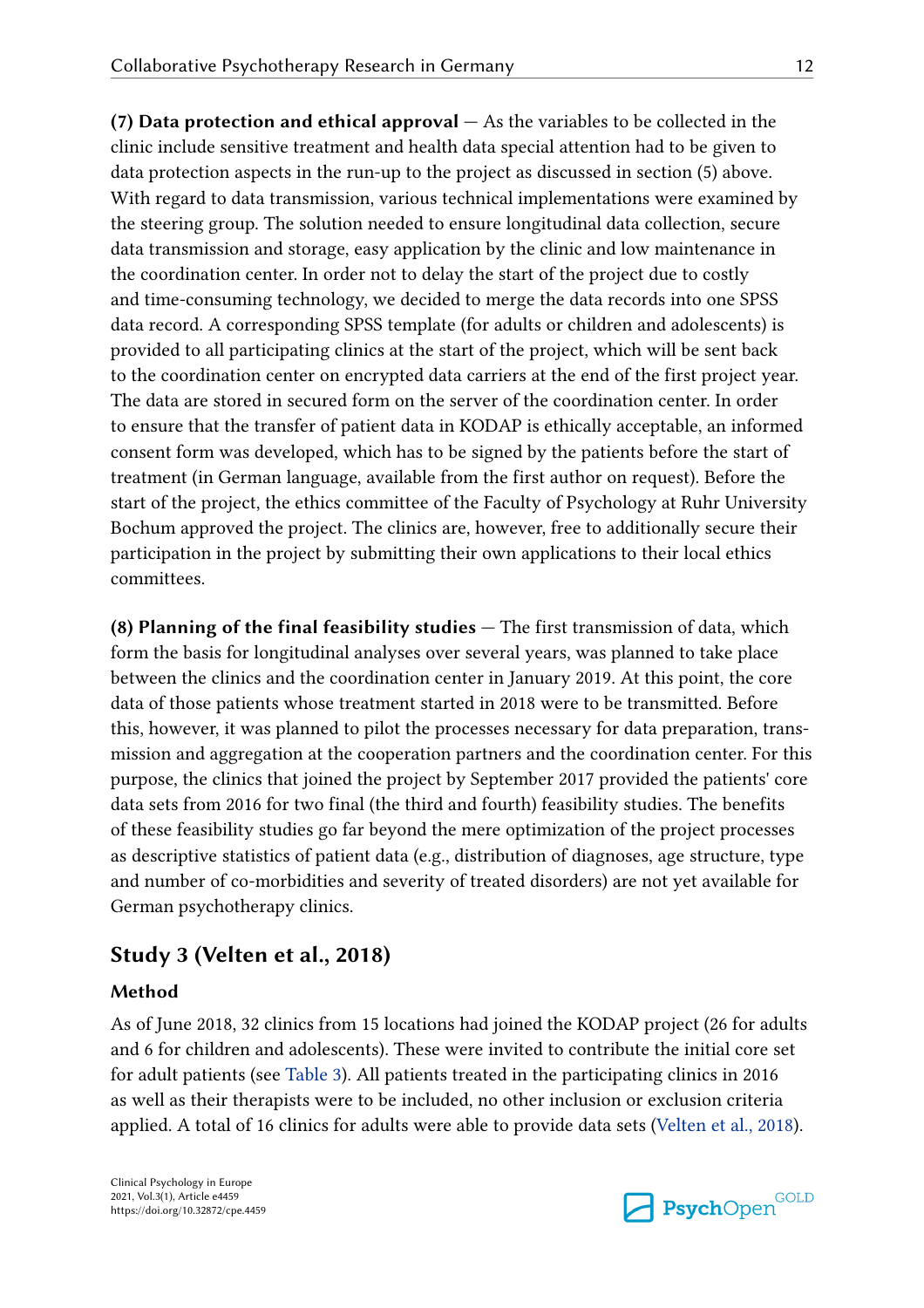**(7) Data protection and ethical approval —** As the variables to be collected in the clinic include sensitive treatment and health data special attention had to be given to data protection aspects in the run-up to the project as discussed in section (5) above. With regard to data transmission, various technical implementations were examined by the steering group. The solution needed to ensure longitudinal data collection, secure data transmission and storage, easy application by the clinic and low maintenance in the coordination center. In order not to delay the start of the project due to costly and time-consuming technology, we decided to merge the data records into one SPSS data record. A corresponding SPSS template (for adults or children and adolescents) is provided to all participating clinics at the start of the project, which will be sent back to the coordination center on encrypted data carriers at the end of the first project year. The data are stored in secured form on the server of the coordination center. In order to ensure that the transfer of patient data in KODAP is ethically acceptable, an informed consent form was developed, which has to be signed by the patients before the start of treatment (in German language, available from the first author on request). Before the start of the project, the ethics committee of the Faculty of Psychology at Ruhr University Bochum approved the project. The clinics are, however, free to additionally secure their participation in the project by submitting their own applications to their local ethics

**(8) Planning of the final feasibility studies —** The first transmission of data, which form the basis for longitudinal analyses over several years, was planned to take place between the clinics and the coordination center in January 2019. At this point, the core data of those patients whose treatment started in 2018 were to be transmitted. Before this, however, it was planned to pilot the processes necessary for data preparation, transmission and aggregation at the cooperation partners and the coordination center. For this purpose, the clinics that joined the project by September 2017 provided the patients' core data sets from 2016 for two final (the third and fourth) feasibility studies. The benefits of these feasibility studies go far beyond the mere optimization of the project processes as descriptive statistics of patient data (e.g., distribution of diagnoses, age structure, type and number of co-morbidities and severity of treated disorders) are not yet available for German psychotherapy clinics.

## **Study 3 (Velten et al., 2018)**

## **Method**

committees.

As of June 2018, 32 clinics from 15 locations had joined the KODAP project (26 for adults and 6 for children and adolescents). These were invited to contribute the initial core set for adult patients (see Table 3). All patients treated in the participating clinics in 2016 as well as their therapists were to be included, no other inclusion or exclusion criteria applied. A total of 16 clinics for adults were able to provide data sets (Velten et al., 2018).

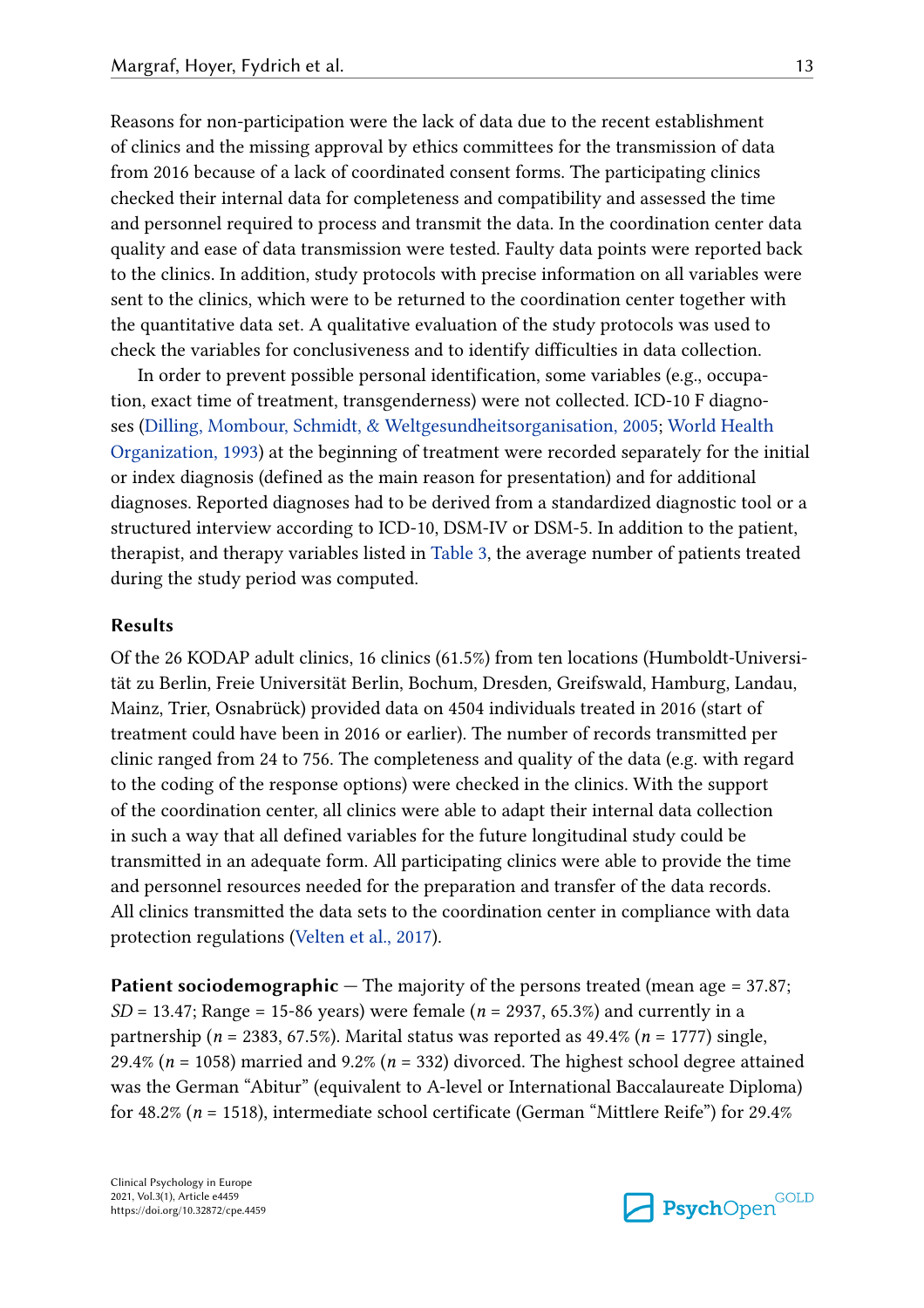Reasons for non-participation were the lack of data due to the recent establishment of clinics and the missing approval by ethics committees for the transmission of data from 2016 because of a lack of coordinated consent forms. The participating clinics checked their internal data for completeness and compatibility and assessed the time and personnel required to process and transmit the data. In the coordination center data quality and ease of data transmission were tested. Faulty data points were reported back to the clinics. In addition, study protocols with precise information on all variables were sent to the clinics, which were to be returned to the coordination center together with the quantitative data set. A qualitative evaluation of the study protocols was used to check the variables for conclusiveness and to identify difficulties in data collection.

In order to prevent possible personal identification, some variables (e.g., occupation, exact time of treatment, transgenderness) were not collected. ICD-10 F diagnoses (Dilling, Mombour, Schmidt, & Weltgesundheitsorganisation, 2005; World Health Organization, 1993) at the beginning of treatment were recorded separately for the initial or index diagnosis (defined as the main reason for presentation) and for additional diagnoses. Reported diagnoses had to be derived from a standardized diagnostic tool or a structured interview according to ICD-10, DSM-IV or DSM-5. In addition to the patient, therapist, and therapy variables listed in Table 3, the average number of patients treated during the study period was computed.

#### **Results**

Of the 26 KODAP adult clinics, 16 clinics (61.5%) from ten locations (Humboldt-Universität zu Berlin, Freie Universität Berlin, Bochum, Dresden, Greifswald, Hamburg, Landau, Mainz, Trier, Osnabrück) provided data on 4504 individuals treated in 2016 (start of treatment could have been in 2016 or earlier). The number of records transmitted per clinic ranged from 24 to 756. The completeness and quality of the data (e.g. with regard to the coding of the response options) were checked in the clinics. With the support of the coordination center, all clinics were able to adapt their internal data collection in such a way that all defined variables for the future longitudinal study could be transmitted in an adequate form. All participating clinics were able to provide the time and personnel resources needed for the preparation and transfer of the data records. All clinics transmitted the data sets to the coordination center in compliance with data protection regulations (Velten et al., 2017).

**Patient sociodemographic** – The majority of the persons treated (mean age = 37.87; *SD* = 13.47; Range = 15-86 years) were female (*n* = 2937, 65.3%) and currently in a partnership (*n* = 2383, 67.5%). Marital status was reported as 49.4% (*n* = 1777) single, 29.4% ( $n = 1058$ ) married and 9.2% ( $n = 332$ ) divorced. The highest school degree attained was the German "Abitur" (equivalent to A-level or International Baccalaureate Diploma) for 48.2% (*n* = 1518), intermediate school certificate (German "Mittlere Reife") for 29.4%

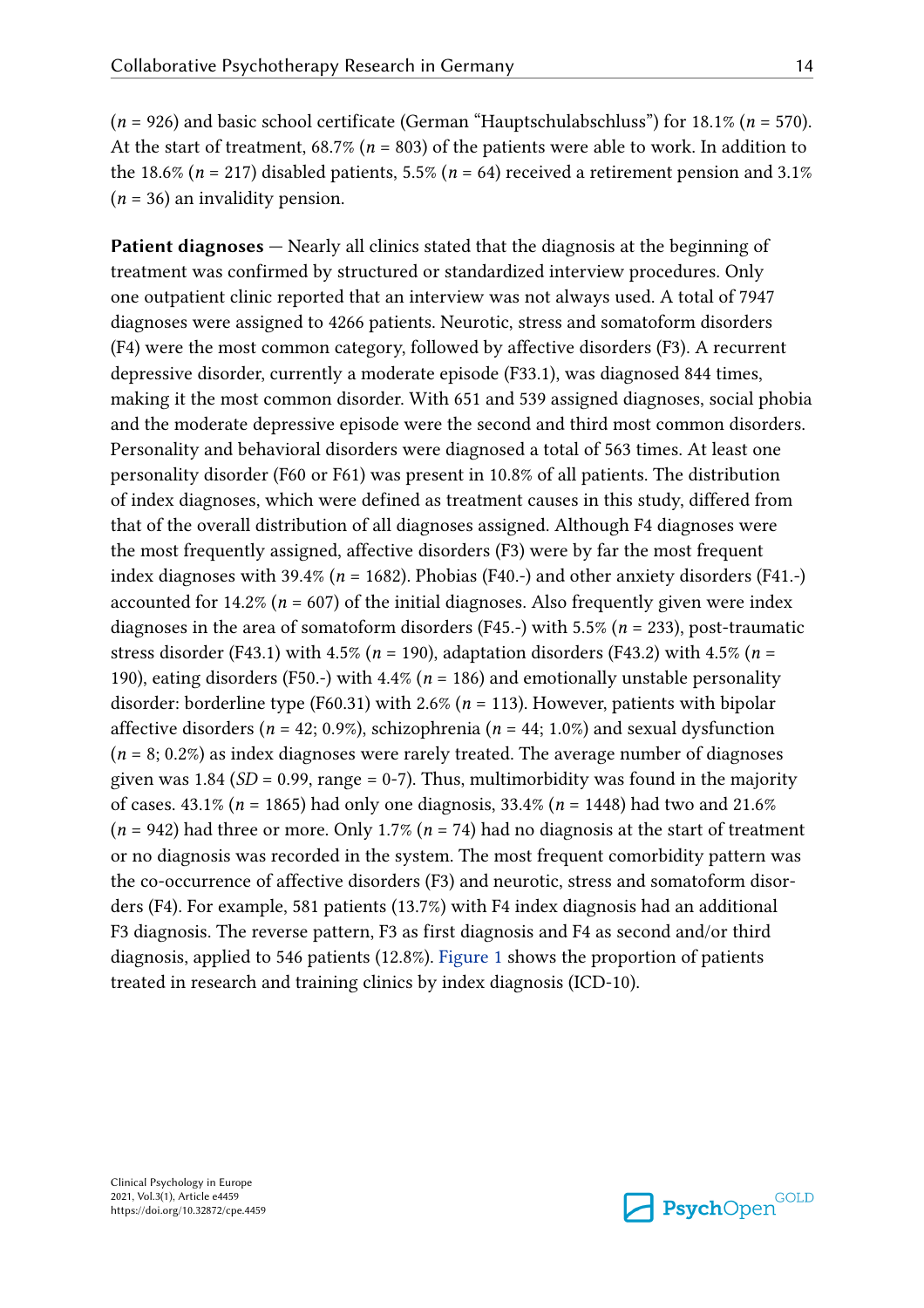(*n* = 926) and basic school certificate (German "Hauptschulabschluss") for 18.1% (*n* = 570). At the start of treatment, 68.7% (*n* = 803) of the patients were able to work. In addition to the 18.6% ( $n = 217$ ) disabled patients, 5.5% ( $n = 64$ ) received a retirement pension and 3.1% (*n* = 36) an invalidity pension.

**Patient diagnoses** – Nearly all clinics stated that the diagnosis at the beginning of treatment was confirmed by structured or standardized interview procedures. Only one outpatient clinic reported that an interview was not always used. A total of 7947 diagnoses were assigned to 4266 patients. Neurotic, stress and somatoform disorders (F4) were the most common category, followed by affective disorders (F3). A recurrent depressive disorder, currently a moderate episode (F33.1), was diagnosed 844 times, making it the most common disorder. With 651 and 539 assigned diagnoses, social phobia and the moderate depressive episode were the second and third most common disorders. Personality and behavioral disorders were diagnosed a total of 563 times. At least one personality disorder (F60 or F61) was present in 10.8% of all patients. The distribution of index diagnoses, which were defined as treatment causes in this study, differed from that of the overall distribution of all diagnoses assigned. Although F4 diagnoses were the most frequently assigned, affective disorders (F3) were by far the most frequent index diagnoses with 39.4% (*n* = 1682). Phobias (F40.-) and other anxiety disorders (F41.-) accounted for 14.2% ( $n = 607$ ) of the initial diagnoses. Also frequently given were index diagnoses in the area of somatoform disorders (F45.-) with 5.5% (*n* = 233), post-traumatic stress disorder (F43.1) with 4.5% (*n* = 190), adaptation disorders (F43.2) with 4.5% (*n* = 190), eating disorders (F50.-) with 4.4% (*n* = 186) and emotionally unstable personality disorder: borderline type (F60.31) with 2.6% (*n* = 113). However, patients with bipolar affective disorders (*n* = 42; 0.9%), schizophrenia (*n* = 44; 1.0%) and sexual dysfunction  $(n = 8; 0.2\%)$  as index diagnoses were rarely treated. The average number of diagnoses given was 1.84  $(SD = 0.99$ , range = 0-7). Thus, multimorbidity was found in the majority of cases. 43.1% (*n* = 1865) had only one diagnosis, 33.4% (*n* = 1448) had two and 21.6% (*n* = 942) had three or more. Only 1.7% (*n* = 74) had no diagnosis at the start of treatment or no diagnosis was recorded in the system. The most frequent comorbidity pattern was the co-occurrence of affective disorders (F3) and neurotic, stress and somatoform disorders (F4). For example, 581 patients (13.7%) with F4 index diagnosis had an additional F3 diagnosis. The reverse pattern, F3 as first diagnosis and F4 as second and/or third diagnosis, applied to 546 patients (12.8%). Figure 1 shows the proportion of patients treated in research and training clinics by index diagnosis (ICD-10).

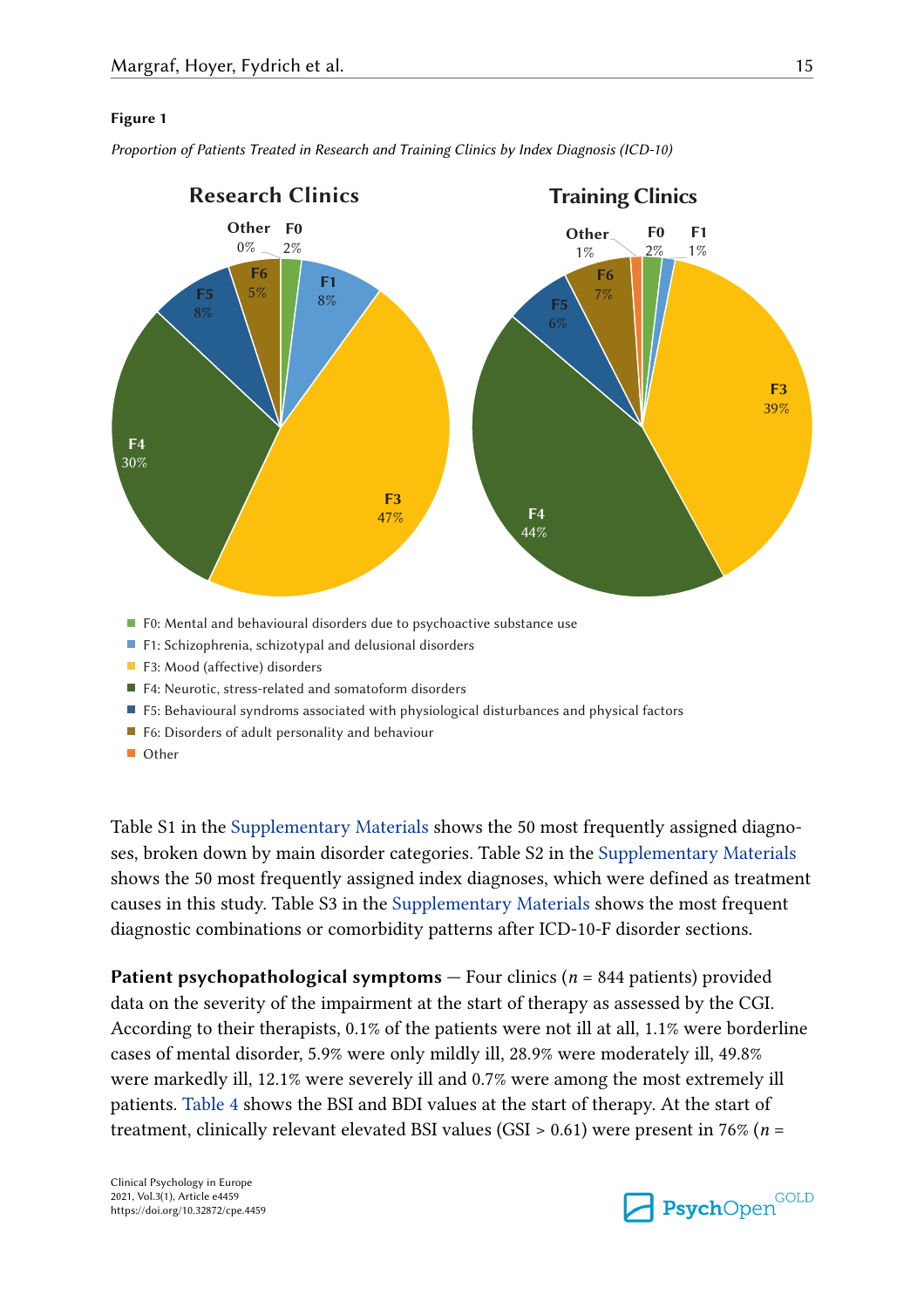#### **Figure 1**



*Proportion of Patients Treated in Research and Training Clinics by Index Diagnosis (ICD-10)*

- $\blacksquare$  F0: Mental and behavioural disorders due to psychoactive substance use
- F1: Schizophrenia, schizotypal and delusional disorders
- F3: Mood (affective) disorders
- F4: Neurotic, stress-related and somatoform disorders
- F5: Behavioural syndroms associated with physiological disturbances and physical factors
- F6: Disorders of adult personality and behaviour
- Other

Table S1 in the Supplementary Materials shows the 50 most frequently assigned diagnoses, broken down by main disorder categories. Table S2 in the Supplementary Materials shows the 50 most frequently assigned index diagnoses, which were defined as treatment causes in this study. Table S3 in the Supplementary Materials shows the most frequent diagnostic combinations or comorbidity patterns after ICD-10-F disorder sections.

**Patient psychopathological symptoms** – Four clinics (*n* = 844 patients) provided data on the severity of the impairment at the start of therapy as assessed by the CGI. According to their therapists, 0.1% of the patients were not ill at all, 1.1% were borderline cases of mental disorder, 5.9% were only mildly ill, 28.9% were moderately ill, 49.8% were markedly ill, 12.1% were severely ill and 0.7% were among the most extremely ill patients. Table 4 shows the BSI and BDI values at the start of therapy. At the start of treatment, clinically relevant elevated BSI values (GSI > 0.61) were present in 76% (*n* =

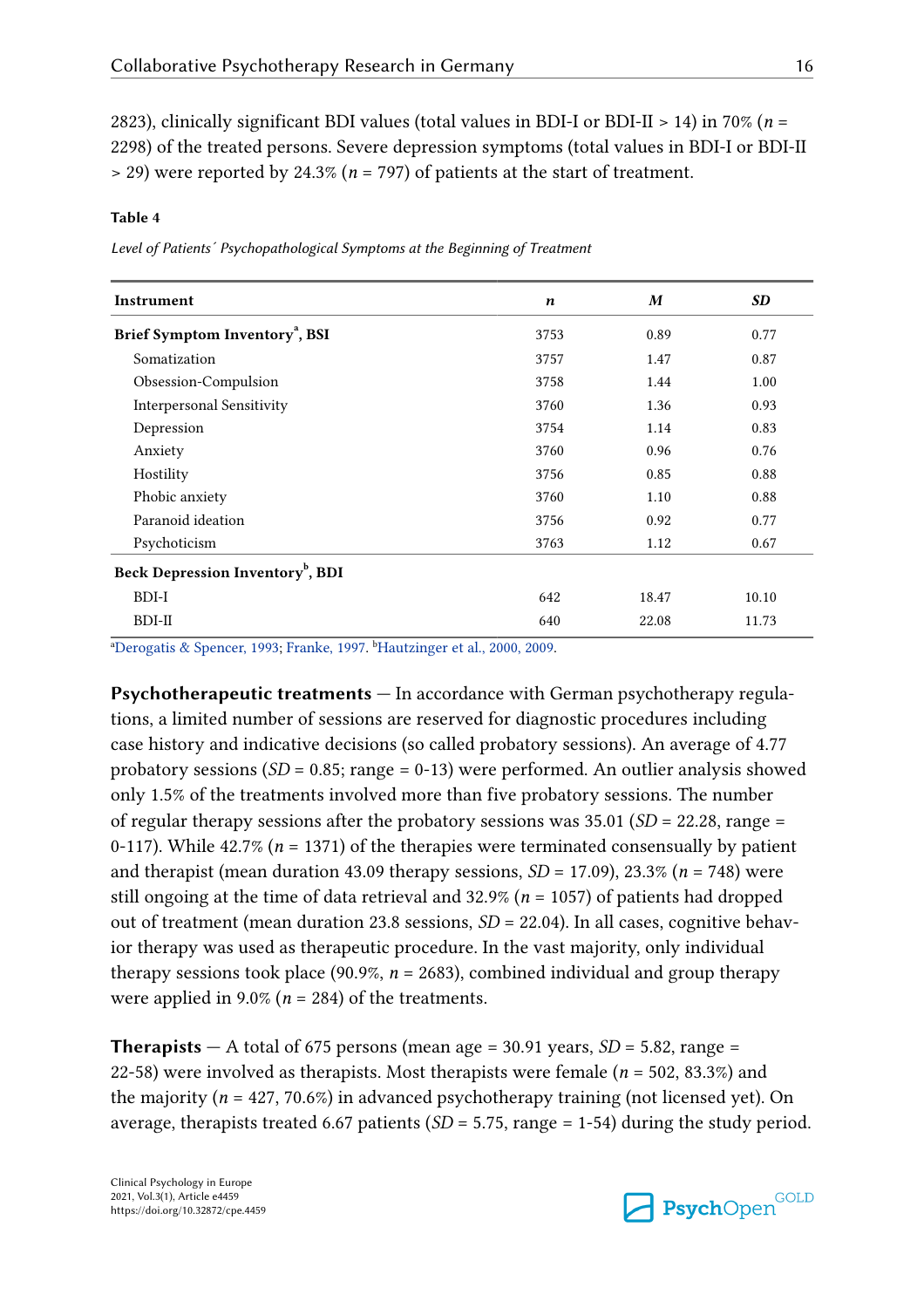2823), clinically significant BDI values (total values in BDI-I or BDI-II > 14) in 70% (*n* = 2298) of the treated persons. Severe depression symptoms (total values in BDI-I or BDI-II > 29) were reported by 24.3% (*n* = 797) of patients at the start of treatment.

#### **Table 4**

*Level of Patients´ Psychopathological Symptoms at the Beginning of Treatment*

| Instrument                                   | n    | M     | <b>SD</b> |
|----------------------------------------------|------|-------|-----------|
| Brief Symptom Inventory <sup>a</sup> , BSI   | 3753 | 0.89  | 0.77      |
| Somatization                                 | 3757 | 1.47  | 0.87      |
| Obsession-Compulsion                         | 3758 | 1.44  | 1.00      |
| <b>Interpersonal Sensitivity</b>             | 3760 | 1.36  | 0.93      |
| Depression                                   | 3754 | 1.14  | 0.83      |
| Anxiety                                      | 3760 | 0.96  | 0.76      |
| Hostility                                    | 3756 | 0.85  | 0.88      |
| Phobic anxiety                               | 3760 | 1.10  | 0.88      |
| Paranoid ideation                            | 3756 | 0.92  | 0.77      |
| Psychoticism                                 | 3763 | 1.12  | 0.67      |
| Beck Depression Inventory <sup>b</sup> , BDI |      |       |           |
| BDI-I                                        | 642  | 18.47 | 10.10     |
| $BDI-II$                                     | 640  | 22.08 | 11.73     |

<sup>a</sup>Derogatis & Spencer, 1993; Franke, 1997. <sup>b</sup>Hautzinger et al., 2000, 2009.

**Psychotherapeutic treatments —** In accordance with German psychotherapy regulations, a limited number of sessions are reserved for diagnostic procedures including case history and indicative decisions (so called probatory sessions). An average of 4.77 probatory sessions (*SD* = 0.85; range = 0-13) were performed. An outlier analysis showed only 1.5% of the treatments involved more than five probatory sessions. The number of regular therapy sessions after the probatory sessions was 35.01 (*SD* = 22.28, range = 0-117). While 42.7% (*n* = 1371) of the therapies were terminated consensually by patient and therapist (mean duration 43.09 therapy sessions, *SD* = 17.09), 23.3% (*n* = 748) were still ongoing at the time of data retrieval and 32.9% (*n* = 1057) of patients had dropped out of treatment (mean duration 23.8 sessions, *SD* = 22.04). In all cases, cognitive behavior therapy was used as therapeutic procedure. In the vast majority, only individual therapy sessions took place (90.9%,  $n = 2683$ ), combined individual and group therapy were applied in  $9.0\%$  ( $n = 284$ ) of the treatments.

**Therapists**  $-$  A total of 675 persons (mean age = 30.91 years,  $SD$  = 5.82, range = 22-58) were involved as therapists. Most therapists were female (*n* = 502, 83.3%) and the majority ( $n = 427, 70.6\%$ ) in advanced psychotherapy training (not licensed yet). On average, therapists treated 6.67 patients  $(SD = 5.75, \text{range} = 1.54)$  during the study period.

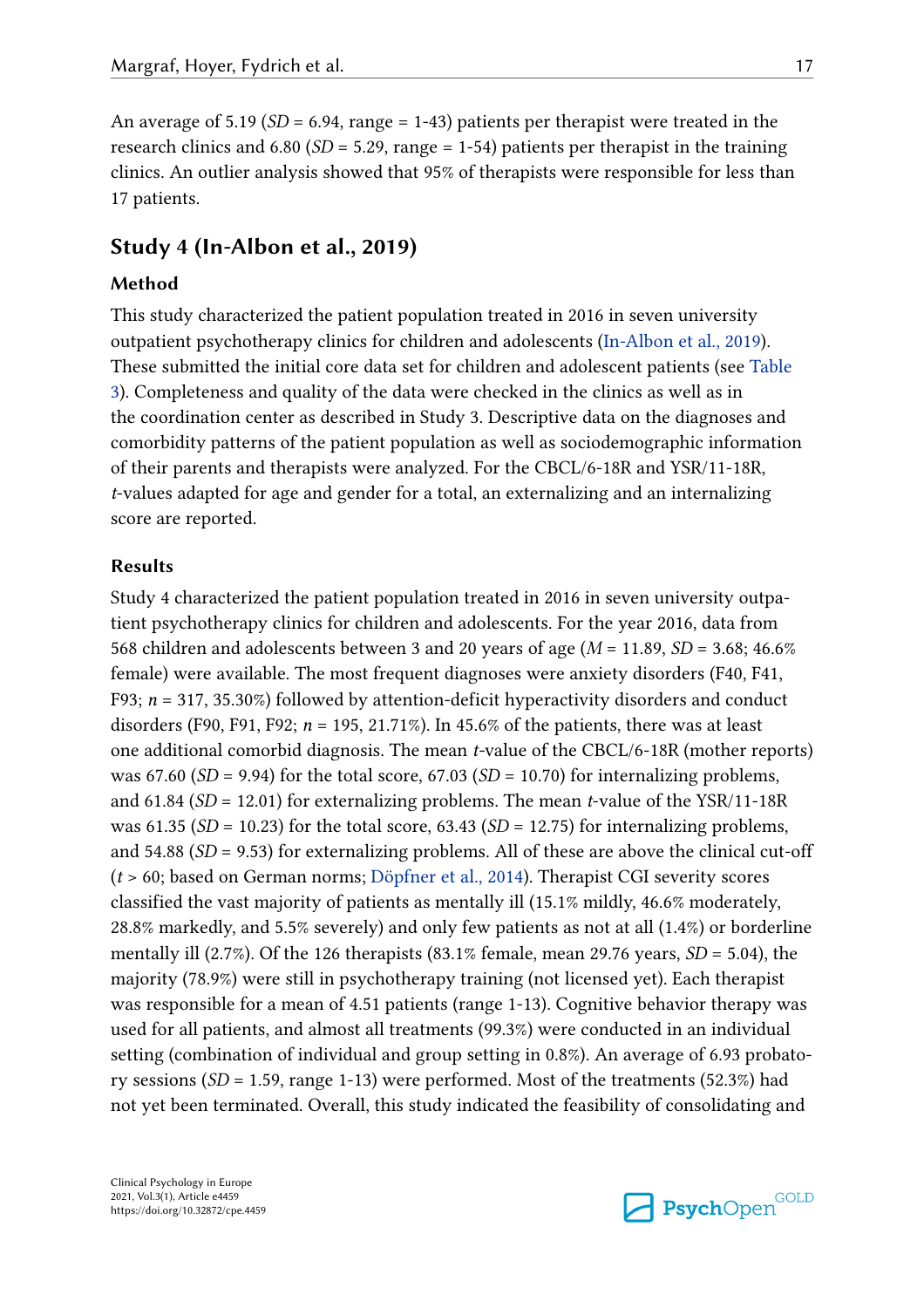An average of 5.19 (*SD* = 6.94, range = 1-43) patients per therapist were treated in the research clinics and 6.80 (*SD* = 5.29, range = 1-54) patients per therapist in the training clinics. An outlier analysis showed that 95% of therapists were responsible for less than 17 patients.

## **Study 4 (In-Albon et al., 2019)**

#### **Method**

This study characterized the patient population treated in 2016 in seven university outpatient psychotherapy clinics for children and adolescents (In-Albon et al., 2019). These submitted the initial core data set for children and adolescent patients (see Table 3). Completeness and quality of the data were checked in the clinics as well as in the coordination center as described in Study 3. Descriptive data on the diagnoses and comorbidity patterns of the patient population as well as sociodemographic information of their parents and therapists were analyzed. For the CBCL/6-18R and YSR/11-18R, *t*-values adapted for age and gender for a total, an externalizing and an internalizing score are reported.

#### **Results**

Study 4 characterized the patient population treated in 2016 in seven university outpatient psychotherapy clinics for children and adolescents. For the year 2016, data from 568 children and adolescents between 3 and 20 years of age (*M* = 11.89, *SD* = 3.68; 46.6% female) were available. The most frequent diagnoses were anxiety disorders (F40, F41, F93; *n* = 317, 35.30%) followed by attention-deficit hyperactivity disorders and conduct disorders (F90, F91, F92; *n* = 195, 21.71%). In 45.6% of the patients, there was at least one additional comorbid diagnosis. The mean *t-*value of the CBCL/6-18R (mother reports) was 67.60 ( $SD = 9.94$ ) for the total score, 67.03 ( $SD = 10.70$ ) for internalizing problems, and 61.84 (*SD* = 12.01) for externalizing problems. The mean *t*-value of the YSR/11-18R was 61.35 ( $SD = 10.23$ ) for the total score, 63.43 ( $SD = 12.75$ ) for internalizing problems, and 54.88 (*SD* = 9.53) for externalizing problems. All of these are above the clinical cut-off (*t* > 60; based on German norms; Döpfner et al., 2014). Therapist CGI severity scores classified the vast majority of patients as mentally ill (15.1% mildly, 46.6% moderately, 28.8% markedly, and 5.5% severely) and only few patients as not at all (1.4%) or borderline mentally ill (2.7%). Of the 126 therapists (83.1% female, mean 29.76 years, *SD* = 5.04), the majority (78.9%) were still in psychotherapy training (not licensed yet). Each therapist was responsible for a mean of 4.51 patients (range 1-13). Cognitive behavior therapy was used for all patients, and almost all treatments (99.3%) were conducted in an individual setting (combination of individual and group setting in 0.8%). An average of 6.93 probatory sessions (*SD* = 1.59, range 1-13) were performed. Most of the treatments (52.3%) had not yet been terminated. Overall, this study indicated the feasibility of consolidating and

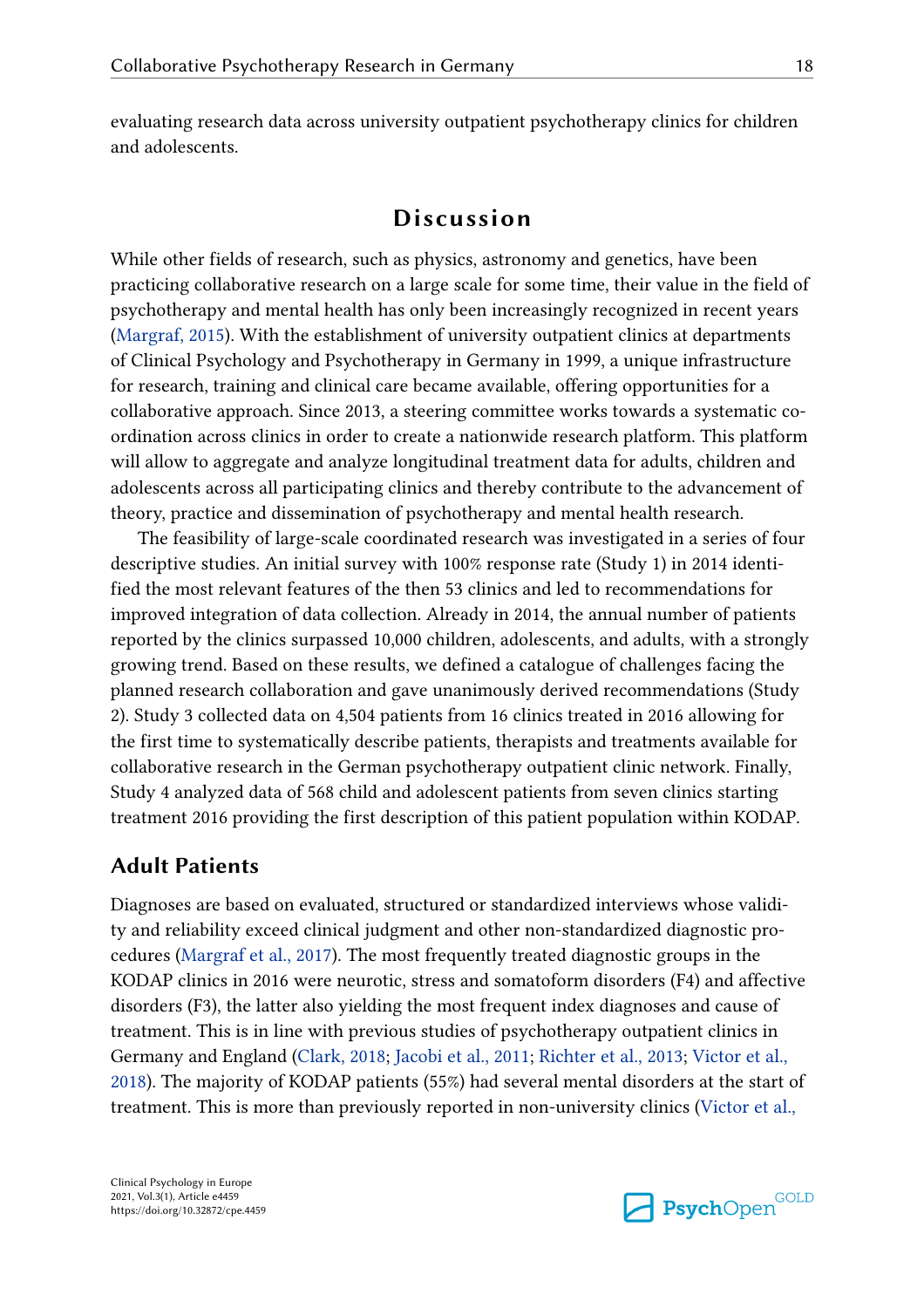evaluating research data across university outpatient psychotherapy clinics for children and adolescents.

## **Discussion**

While other fields of research, such as physics, astronomy and genetics, have been practicing collaborative research on a large scale for some time, their value in the field of psychotherapy and mental health has only been increasingly recognized in recent years (Margraf, 2015). With the establishment of university outpatient clinics at departments of Clinical Psychology and Psychotherapy in Germany in 1999, a unique infrastructure for research, training and clinical care became available, offering opportunities for a collaborative approach. Since 2013, a steering committee works towards a systematic coordination across clinics in order to create a nationwide research platform. This platform will allow to aggregate and analyze longitudinal treatment data for adults, children and adolescents across all participating clinics and thereby contribute to the advancement of theory, practice and dissemination of psychotherapy and mental health research.

The feasibility of large-scale coordinated research was investigated in a series of four descriptive studies. An initial survey with 100% response rate (Study 1) in 2014 identified the most relevant features of the then 53 clinics and led to recommendations for improved integration of data collection. Already in 2014, the annual number of patients reported by the clinics surpassed 10,000 children, adolescents, and adults, with a strongly growing trend. Based on these results, we defined a catalogue of challenges facing the planned research collaboration and gave unanimously derived recommendations (Study 2). Study 3 collected data on 4,504 patients from 16 clinics treated in 2016 allowing for the first time to systematically describe patients, therapists and treatments available for collaborative research in the German psychotherapy outpatient clinic network. Finally, Study 4 analyzed data of 568 child and adolescent patients from seven clinics starting treatment 2016 providing the first description of this patient population within KODAP.

## **Adult Patients**

Diagnoses are based on evaluated, structured or standardized interviews whose validity and reliability exceed clinical judgment and other non-standardized diagnostic procedures (Margraf et al., 2017). The most frequently treated diagnostic groups in the KODAP clinics in 2016 were neurotic, stress and somatoform disorders (F4) and affective disorders (F3), the latter also yielding the most frequent index diagnoses and cause of treatment. This is in line with previous studies of psychotherapy outpatient clinics in Germany and England (Clark, 2018; Jacobi et al., 2011; Richter et al., 2013; Victor et al., 2018). The majority of KODAP patients (55%) had several mental disorders at the start of treatment. This is more than previously reported in non-university clinics (Victor et al.,

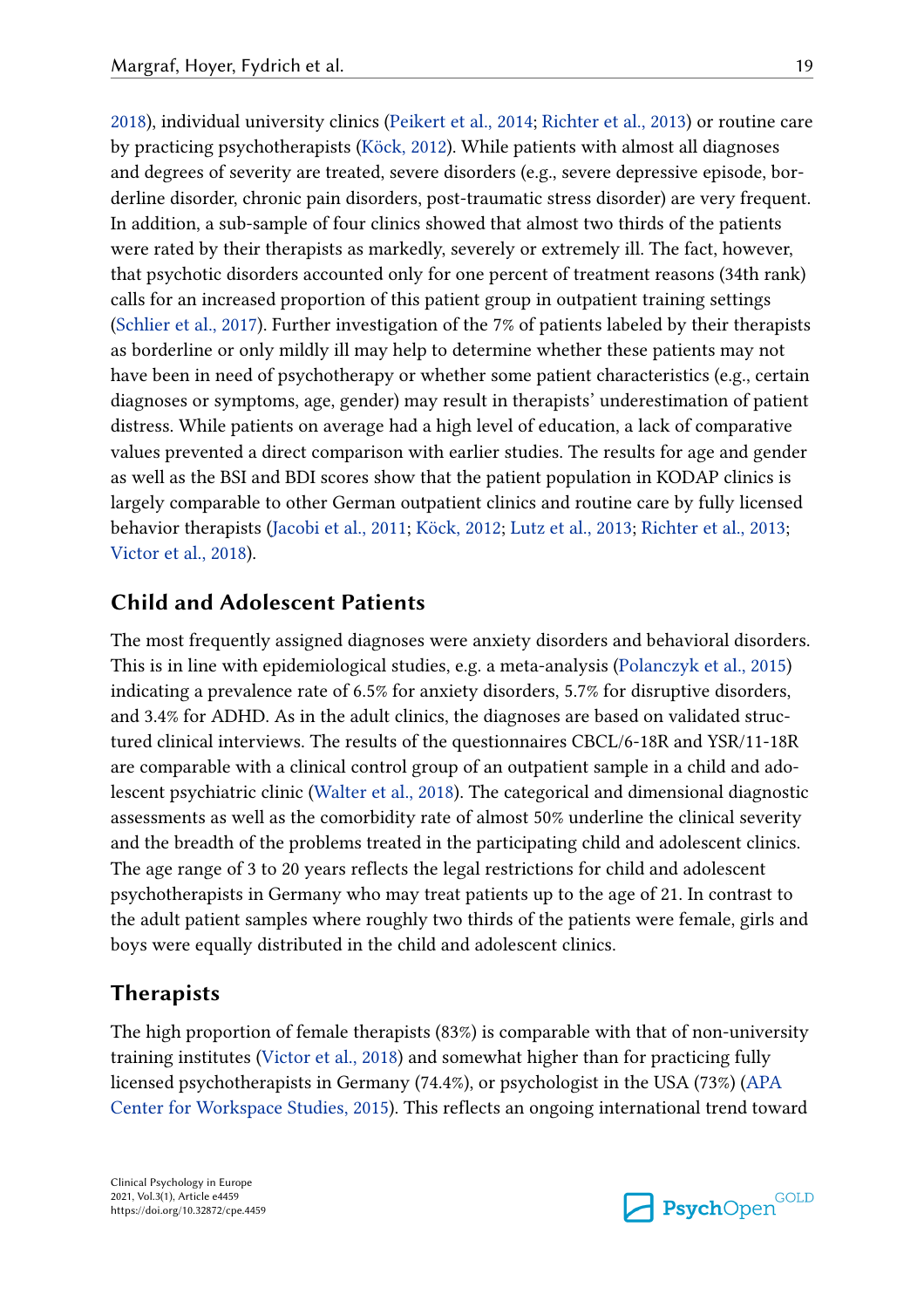2018), individual university clinics (Peikert et al., 2014; Richter et al., 2013) or routine care by practicing psychotherapists (Köck, 2012). While patients with almost all diagnoses and degrees of severity are treated, severe disorders (e.g., severe depressive episode, borderline disorder, chronic pain disorders, post-traumatic stress disorder) are very frequent. In addition, a sub-sample of four clinics showed that almost two thirds of the patients were rated by their therapists as markedly, severely or extremely ill. The fact, however, that psychotic disorders accounted only for one percent of treatment reasons (34th rank) calls for an increased proportion of this patient group in outpatient training settings (Schlier et al., 2017). Further investigation of the 7% of patients labeled by their therapists as borderline or only mildly ill may help to determine whether these patients may not have been in need of psychotherapy or whether some patient characteristics (e.g., certain diagnoses or symptoms, age, gender) may result in therapists' underestimation of patient distress. While patients on average had a high level of education, a lack of comparative values prevented a direct comparison with earlier studies. The results for age and gender as well as the BSI and BDI scores show that the patient population in KODAP clinics is largely comparable to other German outpatient clinics and routine care by fully licensed behavior therapists (Jacobi et al., 2011; Köck, 2012; Lutz et al., 2013; Richter et al., 2013; Victor et al., 2018).

## **Child and Adolescent Patients**

The most frequently assigned diagnoses were anxiety disorders and behavioral disorders. This is in line with epidemiological studies, e.g. a meta-analysis (Polanczyk et al., 2015) indicating a prevalence rate of 6.5% for anxiety disorders, 5.7% for disruptive disorders, and 3.4% for ADHD. As in the adult clinics, the diagnoses are based on validated structured clinical interviews. The results of the questionnaires CBCL/6-18R and YSR/11-18R are comparable with a clinical control group of an outpatient sample in a child and adolescent psychiatric clinic (Walter et al., 2018). The categorical and dimensional diagnostic assessments as well as the comorbidity rate of almost 50% underline the clinical severity and the breadth of the problems treated in the participating child and adolescent clinics. The age range of 3 to 20 years reflects the legal restrictions for child and adolescent psychotherapists in Germany who may treat patients up to the age of 21. In contrast to the adult patient samples where roughly two thirds of the patients were female, girls and boys were equally distributed in the child and adolescent clinics.

## **Therapists**

The high proportion of female therapists (83%) is comparable with that of non-university training institutes (Victor et al., 2018) and somewhat higher than for practicing fully licensed psychotherapists in Germany (74.4%), or psychologist in the USA (73%) (APA Center for Workspace Studies, 2015). This reflects an ongoing international trend toward

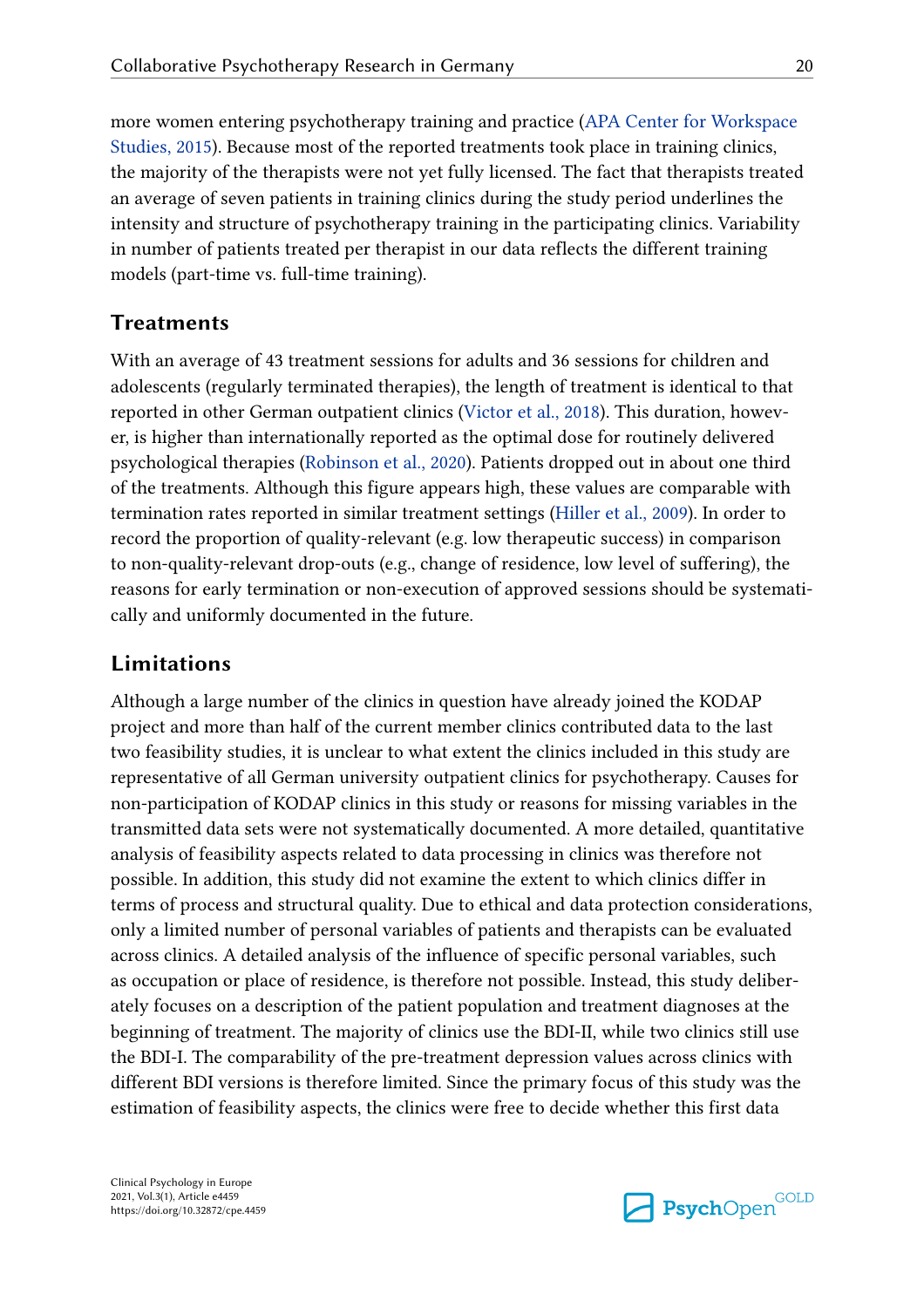more women entering psychotherapy training and practice (APA Center for Workspace Studies, 2015). Because most of the reported treatments took place in training clinics, the majority of the therapists were not yet fully licensed. The fact that therapists treated an average of seven patients in training clinics during the study period underlines the intensity and structure of psychotherapy training in the participating clinics. Variability in number of patients treated per therapist in our data reflects the different training models (part-time vs. full-time training).

## **Treatments**

With an average of 43 treatment sessions for adults and 36 sessions for children and adolescents (regularly terminated therapies), the length of treatment is identical to that reported in other German outpatient clinics (Victor et al., 2018). This duration, however, is higher than internationally reported as the optimal dose for routinely delivered psychological therapies (Robinson et al., 2020). Patients dropped out in about one third of the treatments. Although this figure appears high, these values are comparable with termination rates reported in similar treatment settings (Hiller et al., 2009). In order to record the proportion of quality-relevant (e.g. low therapeutic success) in comparison to non-quality-relevant drop-outs (e.g., change of residence, low level of suffering), the reasons for early termination or non-execution of approved sessions should be systematically and uniformly documented in the future.

## **Limitations**

Although a large number of the clinics in question have already joined the KODAP project and more than half of the current member clinics contributed data to the last two feasibility studies, it is unclear to what extent the clinics included in this study are representative of all German university outpatient clinics for psychotherapy. Causes for non-participation of KODAP clinics in this study or reasons for missing variables in the transmitted data sets were not systematically documented. A more detailed, quantitative analysis of feasibility aspects related to data processing in clinics was therefore not possible. In addition, this study did not examine the extent to which clinics differ in terms of process and structural quality. Due to ethical and data protection considerations, only a limited number of personal variables of patients and therapists can be evaluated across clinics. A detailed analysis of the influence of specific personal variables, such as occupation or place of residence, is therefore not possible. Instead, this study deliberately focuses on a description of the patient population and treatment diagnoses at the beginning of treatment. The majority of clinics use the BDI-II, while two clinics still use the BDI-I. The comparability of the pre-treatment depression values across clinics with different BDI versions is therefore limited. Since the primary focus of this study was the estimation of feasibility aspects, the clinics were free to decide whether this first data

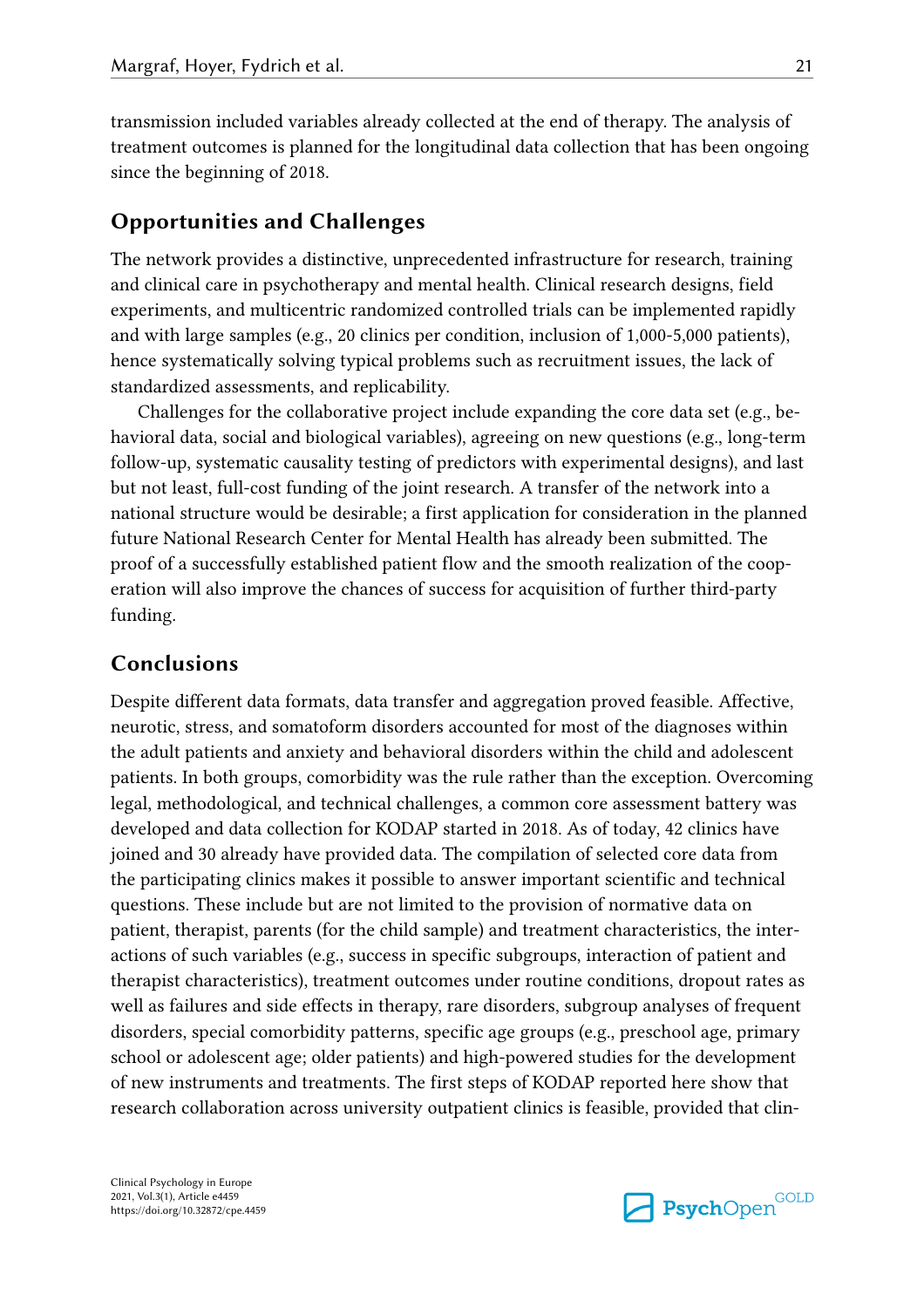transmission included variables already collected at the end of therapy. The analysis of treatment outcomes is planned for the longitudinal data collection that has been ongoing since the beginning of 2018.

## **Opportunities and Challenges**

The network provides a distinctive, unprecedented infrastructure for research, training and clinical care in psychotherapy and mental health. Clinical research designs, field experiments, and multicentric randomized controlled trials can be implemented rapidly and with large samples (e.g., 20 clinics per condition, inclusion of 1,000-5,000 patients), hence systematically solving typical problems such as recruitment issues, the lack of standardized assessments, and replicability.

Challenges for the collaborative project include expanding the core data set (e.g., behavioral data, social and biological variables), agreeing on new questions (e.g., long-term follow-up, systematic causality testing of predictors with experimental designs), and last but not least, full-cost funding of the joint research. A transfer of the network into a national structure would be desirable; a first application for consideration in the planned future National Research Center for Mental Health has already been submitted. The proof of a successfully established patient flow and the smooth realization of the cooperation will also improve the chances of success for acquisition of further third-party funding.

## **Conclusions**

Despite different data formats, data transfer and aggregation proved feasible. Affective, neurotic, stress, and somatoform disorders accounted for most of the diagnoses within the adult patients and anxiety and behavioral disorders within the child and adolescent patients. In both groups, comorbidity was the rule rather than the exception. Overcoming legal, methodological, and technical challenges, a common core assessment battery was developed and data collection for KODAP started in 2018. As of today, 42 clinics have joined and 30 already have provided data. The compilation of selected core data from the participating clinics makes it possible to answer important scientific and technical questions. These include but are not limited to the provision of normative data on patient, therapist, parents (for the child sample) and treatment characteristics, the interactions of such variables (e.g., success in specific subgroups, interaction of patient and therapist characteristics), treatment outcomes under routine conditions, dropout rates as well as failures and side effects in therapy, rare disorders, subgroup analyses of frequent disorders, special comorbidity patterns, specific age groups (e.g., preschool age, primary school or adolescent age; older patients) and high-powered studies for the development of new instruments and treatments. The first steps of KODAP reported here show that research collaboration across university outpatient clinics is feasible, provided that clin-

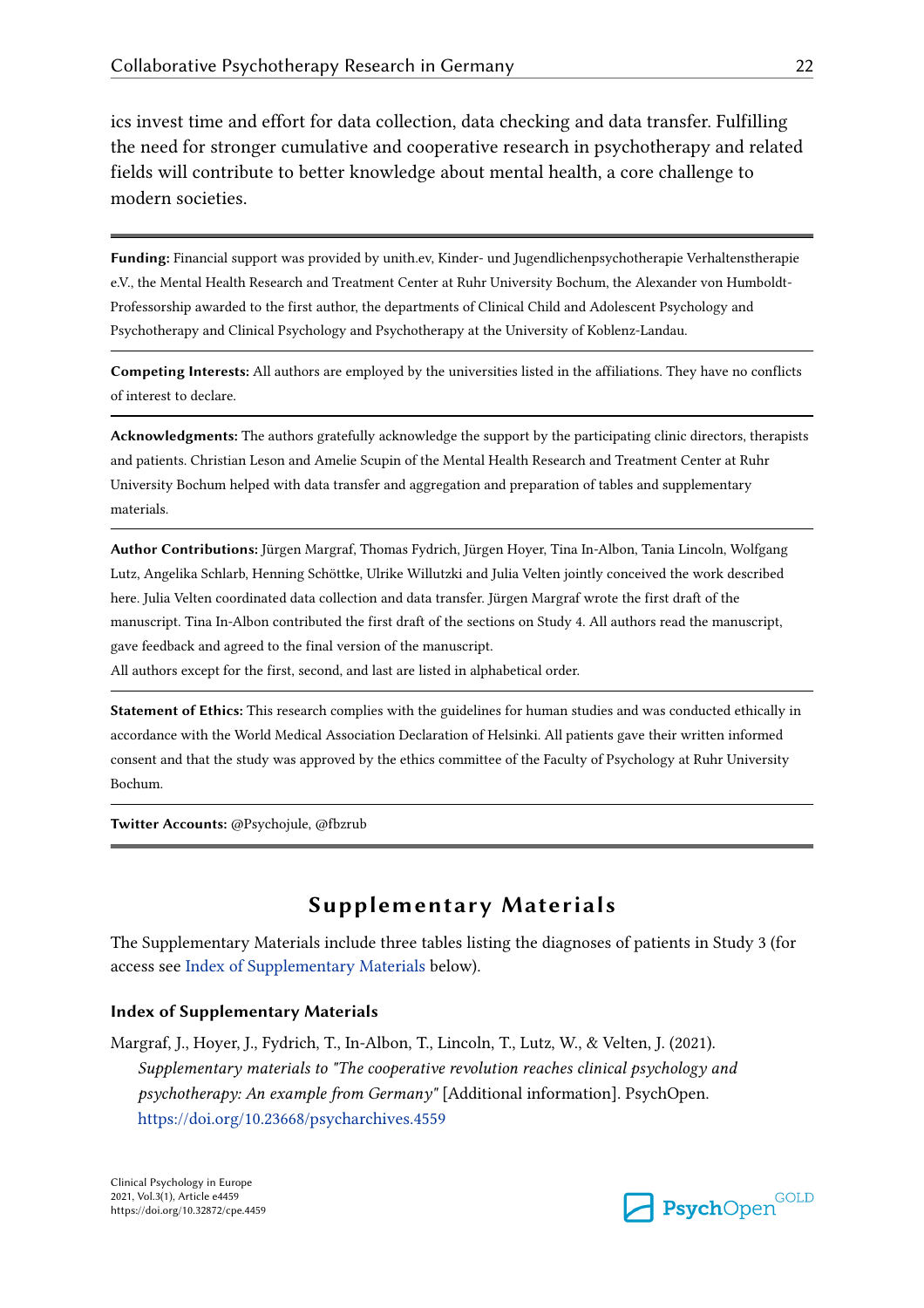ics invest time and effort for data collection, data checking and data transfer. Fulfilling the need for stronger cumulative and cooperative research in psychotherapy and related fields will contribute to better knowledge about mental health, a core challenge to modern societies.

**Funding:** Financial support was provided by unith.ev, Kinder- und Jugendlichenpsychotherapie Verhaltenstherapie e.V., the Mental Health Research and Treatment Center at Ruhr University Bochum, the Alexander von Humboldt-Professorship awarded to the first author, the departments of Clinical Child and Adolescent Psychology and Psychotherapy and Clinical Psychology and Psychotherapy at the University of Koblenz-Landau.

**Competing Interests:** All authors are employed by the universities listed in the affiliations. They have no conflicts of interest to declare.

**Acknowledgments:** The authors gratefully acknowledge the support by the participating clinic directors, therapists and patients. Christian Leson and Amelie Scupin of the Mental Health Research and Treatment Center at Ruhr University Bochum helped with data transfer and aggregation and preparation of tables and supplementary materials.

**Author Contributions:** Jürgen Margraf, Thomas Fydrich, Jürgen Hoyer, Tina In-Albon, Tania Lincoln, Wolfgang Lutz, Angelika Schlarb, Henning Schöttke, Ulrike Willutzki and Julia Velten jointly conceived the work described here. Julia Velten coordinated data collection and data transfer. Jürgen Margraf wrote the first draft of the manuscript. Tina In-Albon contributed the first draft of the sections on Study 4. All authors read the manuscript, gave feedback and agreed to the final version of the manuscript.

All authors except for the first, second, and last are listed in alphabetical order.

**Statement of Ethics:** This research complies with the guidelines for human studies and was conducted ethically in accordance with the World Medical Association Declaration of Helsinki. All patients gave their written informed consent and that the study was approved by the ethics committee of the Faculty of Psychology at Ruhr University Bochum.

**Twitter Accounts:** @Psychojule, @fbzrub

## **Supplementary Materials**

The Supplementary Materials include three tables listing the diagnoses of patients in Study 3 (for access see Index of Supplementary Materials below).

#### **Index of Supplementary Materials**

Margraf, J., Hoyer, J., Fydrich, T., In-Albon, T., Lincoln, T., Lutz, W., & Velten, J. (2021). *Supplementary materials to "The cooperative revolution reaches clinical psychology and psychotherapy: An example from Germany"* [Additional information]. PsychOpen. https://doi.org/10.23668/psycharchives.4559

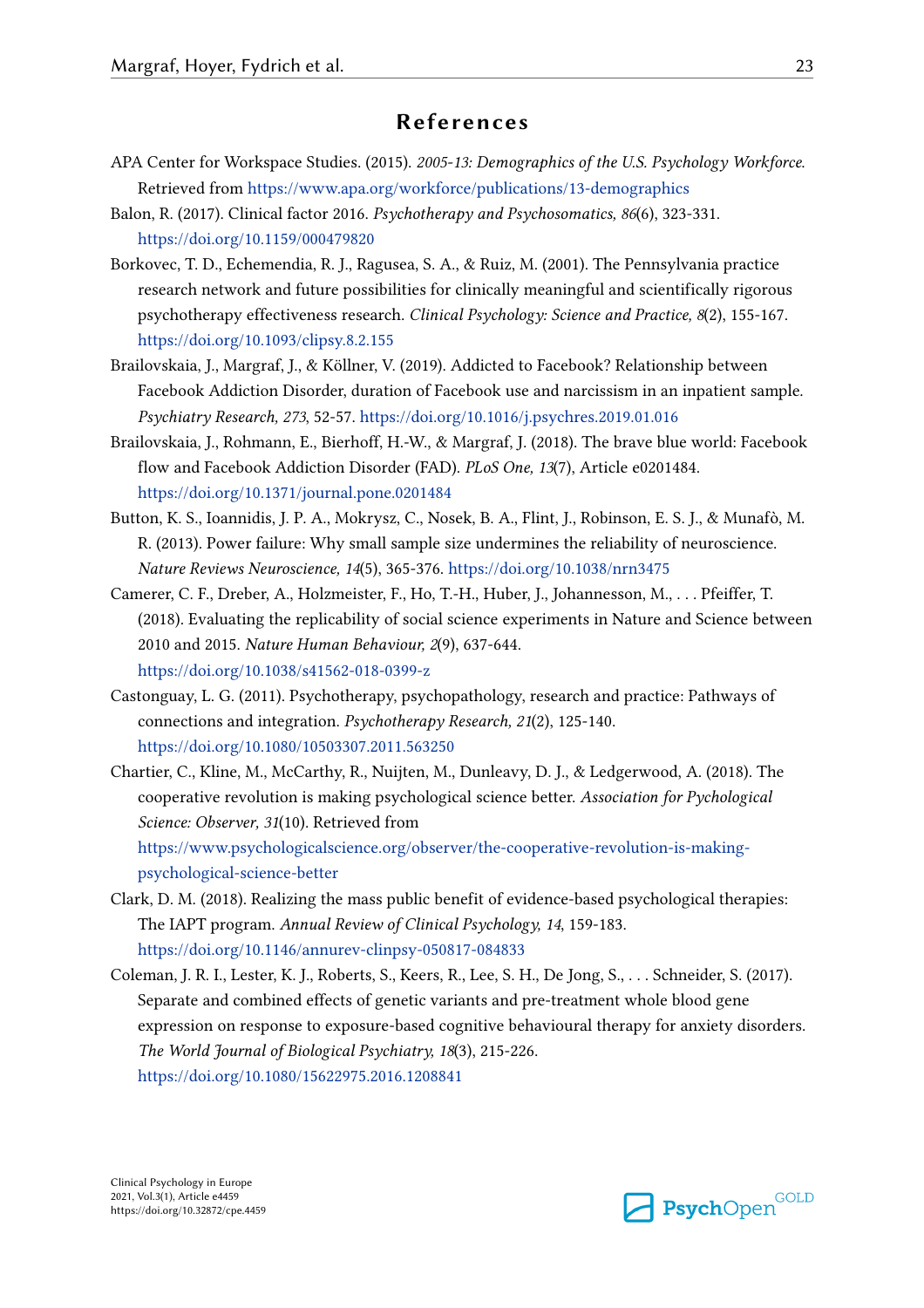## **References**

- APA Center for Workspace Studies. (2015). *2005-13: Demographics of the U.S. Psychology Workforce*. Retrieved from https://www.apa.org/workforce/publications/13-demographics
- Balon, R. (2017). Clinical factor 2016. *Psychotherapy and Psychosomatics, 86*(6), 323-331. https://doi.org/10.1159/000479820
- Borkovec, T. D., Echemendia, R. J., Ragusea, S. A., & Ruiz, M. (2001). The Pennsylvania practice research network and future possibilities for clinically meaningful and scientifically rigorous psychotherapy effectiveness research. *Clinical Psychology: Science and Practice, 8*(2), 155-167. https://doi.org/10.1093/clipsy.8.2.155
- Brailovskaia, J., Margraf, J., & Köllner, V. (2019). Addicted to Facebook? Relationship between Facebook Addiction Disorder, duration of Facebook use and narcissism in an inpatient sample. *Psychiatry Research, 273*, 52-57. https://doi.org/10.1016/j.psychres.2019.01.016
- Brailovskaia, J., Rohmann, E., Bierhoff, H.-W., & Margraf, J. (2018). The brave blue world: Facebook flow and Facebook Addiction Disorder (FAD). *PLoS One, 13*(7), Article e0201484. https://doi.org/10.1371/journal.pone.0201484
- Button, K. S., Ioannidis, J. P. A., Mokrysz, C., Nosek, B. A., Flint, J., Robinson, E. S. J., & Munafò, M. R. (2013). Power failure: Why small sample size undermines the reliability of neuroscience. *Nature Reviews Neuroscience, 14*(5), 365-376. https://doi.org/10.1038/nrn3475
- Camerer, C. F., Dreber, A., Holzmeister, F., Ho, T.-H., Huber, J., Johannesson, M., . . . Pfeiffer, T. (2018). Evaluating the replicability of social science experiments in Nature and Science between 2010 and 2015. *Nature Human Behaviour, 2*(9), 637-644. https://doi.org/10.1038/s41562-018-0399-z
- Castonguay, L. G. (2011). Psychotherapy, psychopathology, research and practice: Pathways of connections and integration. *Psychotherapy Research, 21*(2), 125-140. https://doi.org/10.1080/10503307.2011.563250
- Chartier, C., Kline, M., McCarthy, R., Nuijten, M., Dunleavy, D. J., & Ledgerwood, A. (2018). The cooperative revolution is making psychological science better. *Association for Pychological Science: Observer, 31*(10). Retrieved from

https://www.psychologicalscience.org/observer/the-cooperative-revolution-is-makingpsychological-science-better

- Clark, D. M. (2018). Realizing the mass public benefit of evidence-based psychological therapies: The IAPT program. *Annual Review of Clinical Psychology, 14*, 159-183. https://doi.org/10.1146/annurev-clinpsy-050817-084833
- Coleman, J. R. I., Lester, K. J., Roberts, S., Keers, R., Lee, S. H., De Jong, S., . . . Schneider, S. (2017). Separate and combined effects of genetic variants and pre-treatment whole blood gene expression on response to exposure-based cognitive behavioural therapy for anxiety disorders. *The World Journal of Biological Psychiatry, 18*(3), 215-226. https://doi.org/10.1080/15622975.2016.1208841

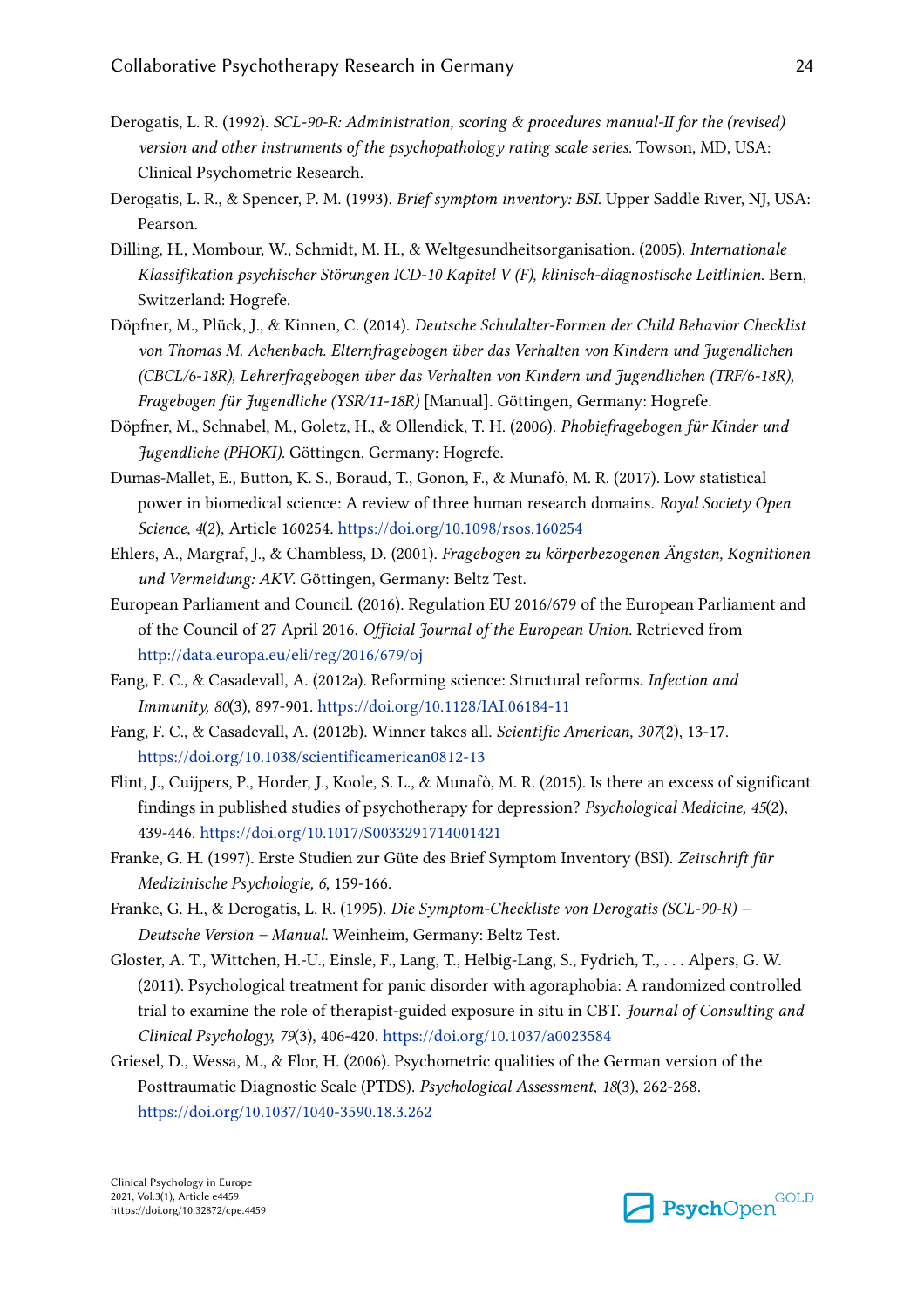- Derogatis, L. R. (1992). *SCL-90-R: Administration, scoring & procedures manual-II for the (revised) version and other instruments of the psychopathology rating scale series.* Towson, MD, USA: Clinical Psychometric Research.
- Derogatis, L. R., & Spencer, P. M. (1993). *Brief symptom inventory: BSI*. Upper Saddle River, NJ, USA: Pearson.
- Dilling, H., Mombour, W., Schmidt, M. H., & Weltgesundheitsorganisation. (2005). *Internationale Klassifikation psychischer Störungen ICD-10 Kapitel V (F), klinisch-diagnostische Leitlinien*. Bern, Switzerland: Hogrefe.
- Döpfner, M., Plück, J., & Kinnen, C. (2014). *Deutsche Schulalter-Formen der Child Behavior Checklist von Thomas M. Achenbach. Elternfragebogen über das Verhalten von Kindern und Jugendlichen (CBCL/6-18R), Lehrerfragebogen über das Verhalten von Kindern und Jugendlichen (TRF/6-18R), Fragebogen für Jugendliche (YSR/11-18R)* [Manual]. Göttingen, Germany: Hogrefe.
- Döpfner, M., Schnabel, M., Goletz, H., & Ollendick, T. H. (2006). *Phobiefragebogen für Kinder und Jugendliche (PHOKI).* Göttingen, Germany: Hogrefe.
- Dumas-Mallet, E., Button, K. S., Boraud, T., Gonon, F., & Munafò, M. R. (2017). Low statistical power in biomedical science: A review of three human research domains. *Royal Society Open Science, 4*(2), Article 160254. https://doi.org/10.1098/rsos.160254
- Ehlers, A., Margraf, J., & Chambless, D. (2001). *Fragebogen zu körperbezogenen Ängsten, Kognitionen und Vermeidung: AKV*. Göttingen, Germany: Beltz Test.
- European Parliament and Council. (2016). Regulation EU 2016/679 of the European Parliament and of the Council of 27 April 2016. *Official Journal of the European Union.* Retrieved from http://data.europa.eu/eli/reg/2016/679/oj
- Fang, F. C., & Casadevall, A. (2012a). Reforming science: Structural reforms. *Infection and Immunity, 80*(3), 897-901. https://doi.org/10.1128/IAI.06184-11
- Fang, F. C., & Casadevall, A. (2012b). Winner takes all. *Scientific American, 307*(2), 13-17. https://doi.org/10.1038/scientificamerican0812-13
- Flint, J., Cuijpers, P., Horder, J., Koole, S. L., & Munafò, M. R. (2015). Is there an excess of significant findings in published studies of psychotherapy for depression? *Psychological Medicine, 45*(2), 439-446. https://doi.org/10.1017/S0033291714001421
- Franke, G. H. (1997). Erste Studien zur Güte des Brief Symptom Inventory (BSI). *Zeitschrift für Medizinische Psychologie, 6*, 159-166.
- Franke, G. H., & Derogatis, L. R. (1995). *Die Symptom-Checkliste von Derogatis (SCL-90-R) Deutsche Version – Manual.* Weinheim, Germany: Beltz Test.
- Gloster, A. T., Wittchen, H.-U., Einsle, F., Lang, T., Helbig-Lang, S., Fydrich, T., . . . Alpers, G. W. (2011). Psychological treatment for panic disorder with agoraphobia: A randomized controlled trial to examine the role of therapist-guided exposure in situ in CBT. *Journal of Consulting and Clinical Psychology, 79*(3), 406-420. https://doi.org/10.1037/a0023584
- Griesel, D., Wessa, M., & Flor, H. (2006). Psychometric qualities of the German version of the Posttraumatic Diagnostic Scale (PTDS). *Psychological Assessment, 18*(3), 262-268. https://doi.org/10.1037/1040-3590.18.3.262

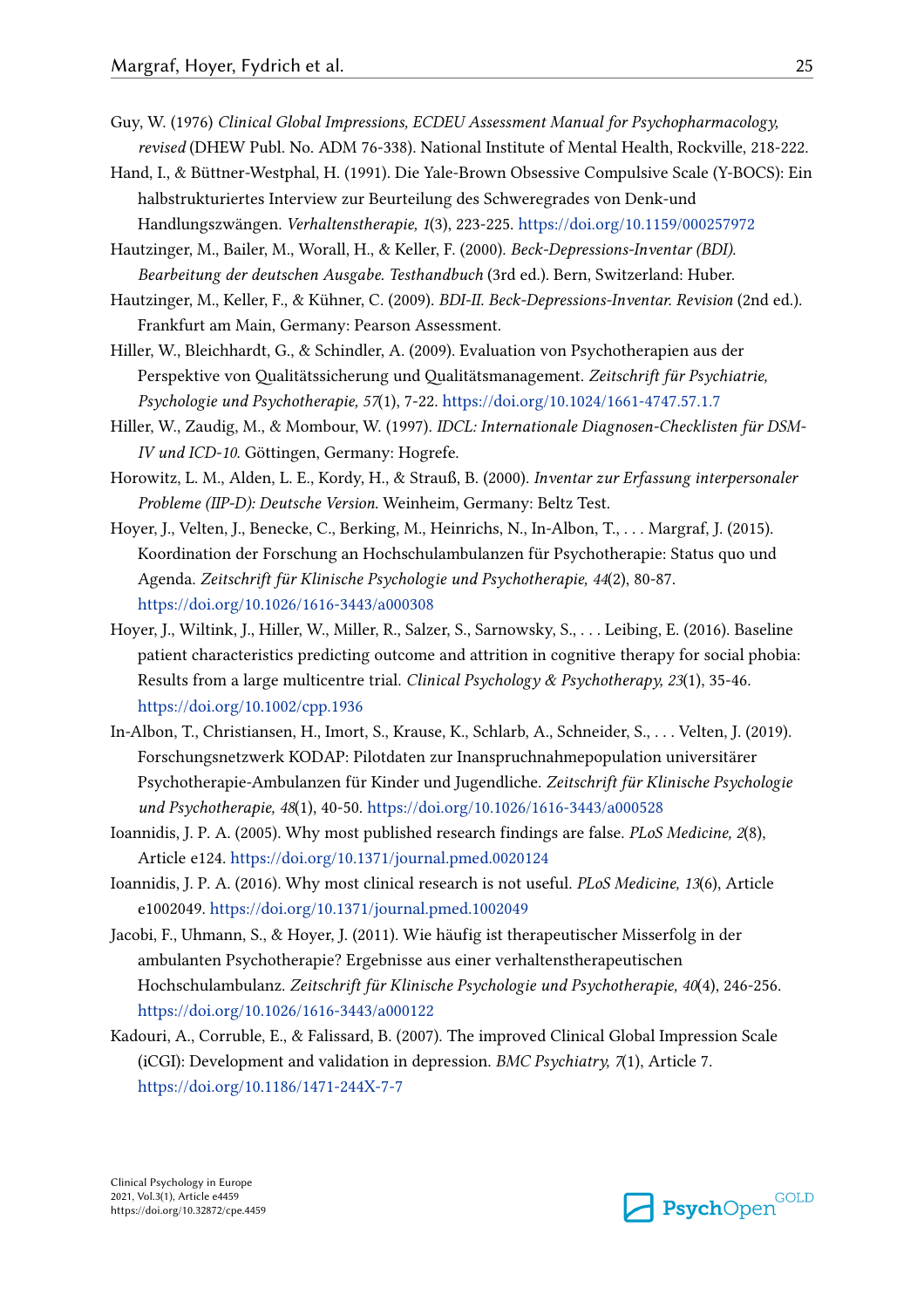- Guy, W. (1976) *Clinical Global Impressions, ECDEU Assessment Manual for Psychopharmacology, revised* (DHEW Publ. No. ADM 76-338). National Institute of Mental Health, Rockville, 218-222.
- Hand, I., & Büttner-Westphal, H. (1991). Die Yale-Brown Obsessive Compulsive Scale (Y-BOCS): Ein halbstrukturiertes Interview zur Beurteilung des Schweregrades von Denk-und Handlungszwängen. *Verhaltenstherapie, 1*(3), 223-225. https://doi.org/10.1159/000257972
- Hautzinger, M., Bailer, M., Worall, H., & Keller, F. (2000). *Beck-Depressions-Inventar (BDI). Bearbeitung der deutschen Ausgabe. Testhandbuch* (3rd ed.). Bern, Switzerland: Huber.
- Hautzinger, M., Keller, F., & Kühner, C. (2009). *BDI-II. Beck-Depressions-Inventar. Revision* (2nd ed.). Frankfurt am Main, Germany: Pearson Assessment.
- Hiller, W., Bleichhardt, G., & Schindler, A. (2009). Evaluation von Psychotherapien aus der Perspektive von Qualitätssicherung und Qualitätsmanagement. *Zeitschrift für Psychiatrie, Psychologie und Psychotherapie, 57*(1), 7-22. https://doi.org/10.1024/1661-4747.57.1.7
- Hiller, W., Zaudig, M., & Mombour, W. (1997). *IDCL: Internationale Diagnosen-Checklisten für DSM-IV und ICD-10.* Göttingen, Germany: Hogrefe.
- Horowitz, L. M., Alden, L. E., Kordy, H., & Strauß, B. (2000). *Inventar zur Erfassung interpersonaler Probleme (IIP-D): Deutsche Version*. Weinheim, Germany: Beltz Test.
- Hoyer, J., Velten, J., Benecke, C., Berking, M., Heinrichs, N., In-Albon, T., . . . Margraf, J. (2015). Koordination der Forschung an Hochschulambulanzen für Psychotherapie: Status quo und Agenda. *Zeitschrift für Klinische Psychologie und Psychotherapie, 44*(2), 80-87. https://doi.org/10.1026/1616-3443/a000308
- Hoyer, J., Wiltink, J., Hiller, W., Miller, R., Salzer, S., Sarnowsky, S., . . . Leibing, E. (2016). Baseline patient characteristics predicting outcome and attrition in cognitive therapy for social phobia: Results from a large multicentre trial. *Clinical Psychology & Psychotherapy, 23*(1), 35-46. https://doi.org/10.1002/cpp.1936
- In-Albon, T., Christiansen, H., Imort, S., Krause, K., Schlarb, A., Schneider, S., . . . Velten, J. (2019). Forschungsnetzwerk KODAP: Pilotdaten zur Inanspruchnahmepopulation universitärer Psychotherapie-Ambulanzen für Kinder und Jugendliche. *Zeitschrift für Klinische Psychologie und Psychotherapie, 48*(1), 40-50. https://doi.org/10.1026/1616-3443/a000528
- Ioannidis, J. P. A. (2005). Why most published research findings are false. *PLoS Medicine, 2*(8), Article e124. https://doi.org/10.1371/journal.pmed.0020124
- Ioannidis, J. P. A. (2016). Why most clinical research is not useful. *PLoS Medicine, 13*(6), Article e1002049. https://doi.org/10.1371/journal.pmed.1002049
- Jacobi, F., Uhmann, S., & Hoyer, J. (2011). Wie häufig ist therapeutischer Misserfolg in der ambulanten Psychotherapie? Ergebnisse aus einer verhaltenstherapeutischen Hochschulambulanz. *Zeitschrift für Klinische Psychologie und Psychotherapie, 40*(4), 246-256. https://doi.org/10.1026/1616-3443/a000122
- Kadouri, A., Corruble, E., & Falissard, B. (2007). The improved Clinical Global Impression Scale (iCGI): Development and validation in depression. *BMC Psychiatry, 7*(1), Article 7. https://doi.org/10.1186/1471-244X-7-7

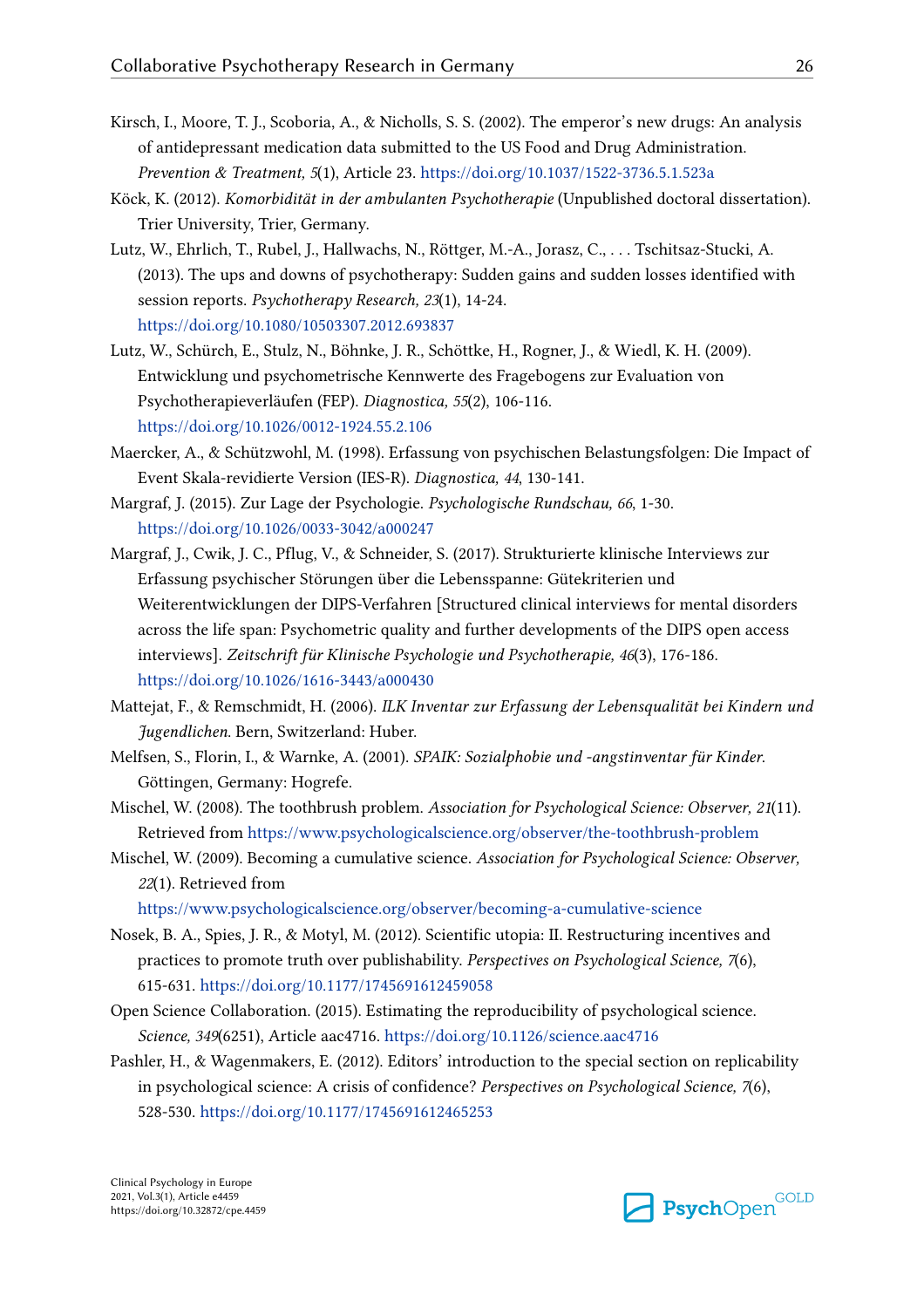- Kirsch, I., Moore, T. J., Scoboria, A., & Nicholls, S. S. (2002). The emperor's new drugs: An analysis of antidepressant medication data submitted to the US Food and Drug Administration. *Prevention & Treatment, 5*(1), Article 23. https://doi.org/10.1037/1522-3736.5.1.523a
- Köck, K. (2012). *Komorbidität in der ambulanten Psychotherapie* (Unpublished doctoral dissertation). Trier University, Trier, Germany.
- Lutz, W., Ehrlich, T., Rubel, J., Hallwachs, N., Röttger, M.-A., Jorasz, C., . . . Tschitsaz-Stucki, A. (2013). The ups and downs of psychotherapy: Sudden gains and sudden losses identified with session reports. *Psychotherapy Research, 23*(1), 14-24. https://doi.org/10.1080/10503307.2012.693837
- Lutz, W., Schürch, E., Stulz, N., Böhnke, J. R., Schöttke, H., Rogner, J., & Wiedl, K. H. (2009). Entwicklung und psychometrische Kennwerte des Fragebogens zur Evaluation von Psychotherapieverläufen (FEP). *Diagnostica, 55*(2), 106-116. https://doi.org/10.1026/0012-1924.55.2.106
- Maercker, A., & Schützwohl, M. (1998). Erfassung von psychischen Belastungsfolgen: Die Impact of Event Skala-revidierte Version (IES-R). *Diagnostica, 44*, 130-141.
- Margraf, J. (2015). Zur Lage der Psychologie. *Psychologische Rundschau, 66*, 1-30. https://doi.org/10.1026/0033-3042/a000247
- Margraf, J., Cwik, J. C., Pflug, V., & Schneider, S. (2017). Strukturierte klinische Interviews zur Erfassung psychischer Störungen über die Lebensspanne: Gütekriterien und Weiterentwicklungen der DIPS-Verfahren [Structured clinical interviews for mental disorders across the life span: Psychometric quality and further developments of the DIPS open access interviews]. *Zeitschrift für Klinische Psychologie und Psychotherapie, 46*(3), 176-186. https://doi.org/10.1026/1616-3443/a000430
- Mattejat, F., & Remschmidt, H. (2006). *ILK Inventar zur Erfassung der Lebensqualität bei Kindern und Jugendlichen*. Bern, Switzerland: Huber.
- Melfsen, S., Florin, I., & Warnke, A. (2001). *SPAIK: Sozialphobie und -angstinventar für Kinder*. Göttingen, Germany: Hogrefe.
- Mischel, W. (2008). The toothbrush problem. *Association for Psychological Science: Observer, 21*(11). Retrieved from https://www.psychologicalscience.org/observer/the-toothbrush-problem
- Mischel, W. (2009). Becoming a cumulative science. *Association for Psychological Science: Observer, 22*(1). Retrieved from

https://www.psychologicalscience.org/observer/becoming-a-cumulative-science

- Nosek, B. A., Spies, J. R., & Motyl, M. (2012). Scientific utopia: II. Restructuring incentives and practices to promote truth over publishability. *Perspectives on Psychological Science, 7*(6), 615-631. https://doi.org/10.1177/1745691612459058
- Open Science Collaboration. (2015). Estimating the reproducibility of psychological science. *Science, 349*(6251), Article aac4716. https://doi.org/10.1126/science.aac4716
- Pashler, H., & Wagenmakers, E. (2012). Editors' introduction to the special section on replicability in psychological science: A crisis of confidence? *Perspectives on Psychological Science, 7*(6), 528-530. https://doi.org/10.1177/1745691612465253

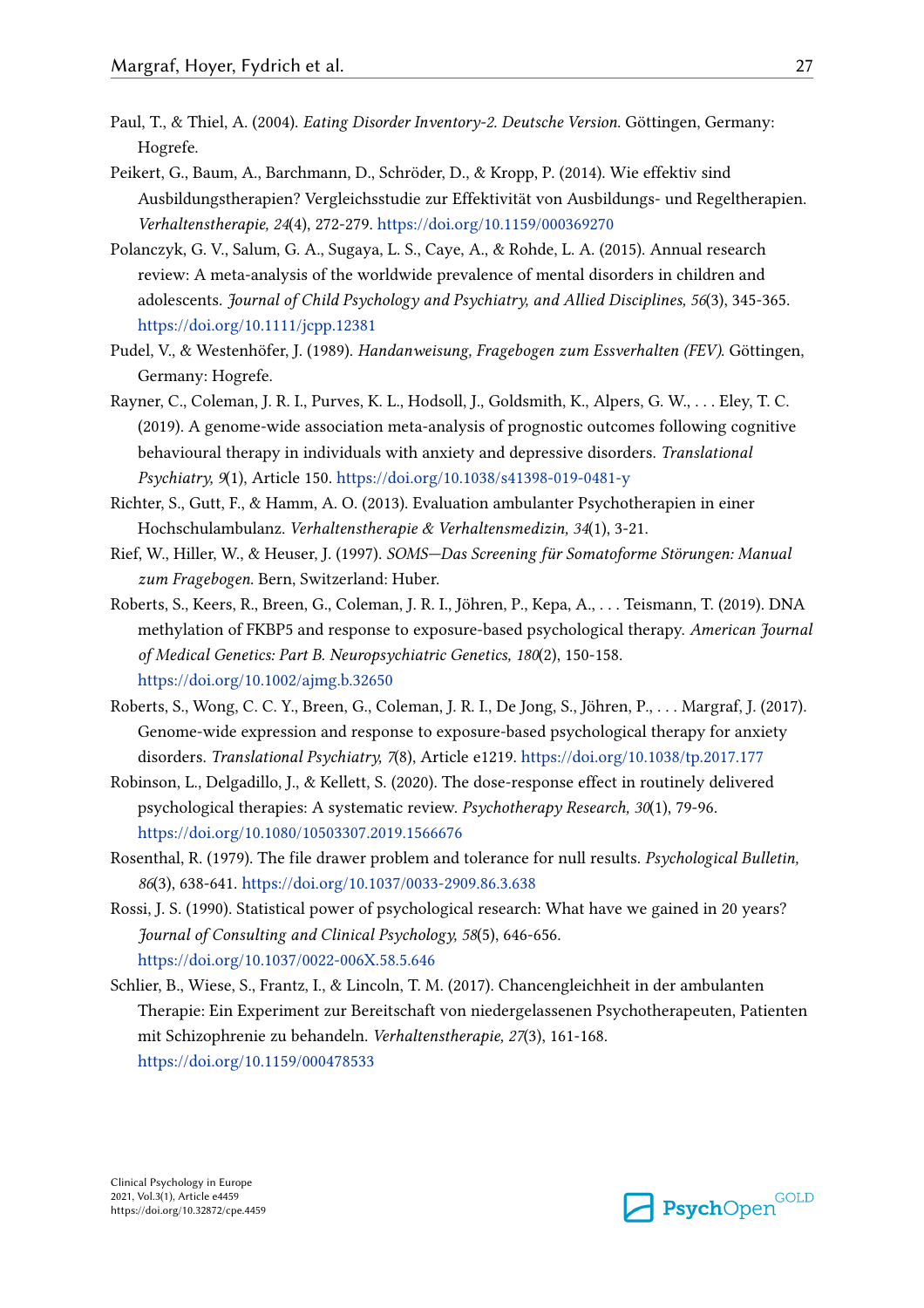- Paul, T., & Thiel, A. (2004). *Eating Disorder Inventory-2. Deutsche Version*. Göttingen, Germany: Hogrefe.
- Peikert, G., Baum, A., Barchmann, D., Schröder, D., & Kropp, P. (2014). Wie effektiv sind Ausbildungstherapien? Vergleichsstudie zur Effektivität von Ausbildungs- und Regeltherapien. *Verhaltenstherapie, 24*(4), 272-279. https://doi.org/10.1159/000369270
- Polanczyk, G. V., Salum, G. A., Sugaya, L. S., Caye, A., & Rohde, L. A. (2015). Annual research review: A meta‐analysis of the worldwide prevalence of mental disorders in children and adolescents. *Journal of Child Psychology and Psychiatry, and Allied Disciplines, 56*(3), 345-365. https://doi.org/10.1111/jcpp.12381
- Pudel, V., & Westenhöfer, J. (1989). *Handanweisung, Fragebogen zum Essverhalten (FEV)*. Göttingen, Germany: Hogrefe.
- Rayner, C., Coleman, J. R. I., Purves, K. L., Hodsoll, J., Goldsmith, K., Alpers, G. W., . . . Eley, T. C. (2019). A genome-wide association meta-analysis of prognostic outcomes following cognitive behavioural therapy in individuals with anxiety and depressive disorders. *Translational Psychiatry, 9*(1), Article 150. https://doi.org/10.1038/s41398-019-0481-y
- Richter, S., Gutt, F., & Hamm, A. O. (2013). Evaluation ambulanter Psychotherapien in einer Hochschulambulanz. *Verhaltenstherapie & Verhaltensmedizin, 34*(1), 3-21.
- Rief, W., Hiller, W., & Heuser, J. (1997). *SOMS—Das Screening für Somatoforme Störungen: Manual zum Fragebogen*. Bern, Switzerland: Huber.
- Roberts, S., Keers, R., Breen, G., Coleman, J. R. I., Jöhren, P., Kepa, A., . . . Teismann, T. (2019). DNA methylation of FKBP5 and response to exposure‐based psychological therapy. *American Journal of Medical Genetics: Part B. Neuropsychiatric Genetics, 180*(2), 150-158. https://doi.org/10.1002/ajmg.b.32650
- Roberts, S., Wong, C. C. Y., Breen, G., Coleman, J. R. I., De Jong, S., Jöhren, P., . . . Margraf, J. (2017). Genome-wide expression and response to exposure-based psychological therapy for anxiety disorders. *Translational Psychiatry, 7*(8), Article e1219. https://doi.org/10.1038/tp.2017.177
- Robinson, L., Delgadillo, J., & Kellett, S. (2020). The dose-response effect in routinely delivered psychological therapies: A systematic review. *Psychotherapy Research, 30*(1), 79-96. https://doi.org/10.1080/10503307.2019.1566676
- Rosenthal, R. (1979). The file drawer problem and tolerance for null results. *Psychological Bulletin, 86*(3), 638-641. https://doi.org/10.1037/0033-2909.86.3.638
- Rossi, J. S. (1990). Statistical power of psychological research: What have we gained in 20 years? *Journal of Consulting and Clinical Psychology, 58*(5), 646-656. https://doi.org/10.1037/0022-006X.58.5.646
- Schlier, B., Wiese, S., Frantz, I., & Lincoln, T. M. (2017). Chancengleichheit in der ambulanten Therapie: Ein Experiment zur Bereitschaft von niedergelassenen Psychotherapeuten, Patienten mit Schizophrenie zu behandeln. *Verhaltenstherapie, 27*(3), 161-168. https://doi.org/10.1159/000478533

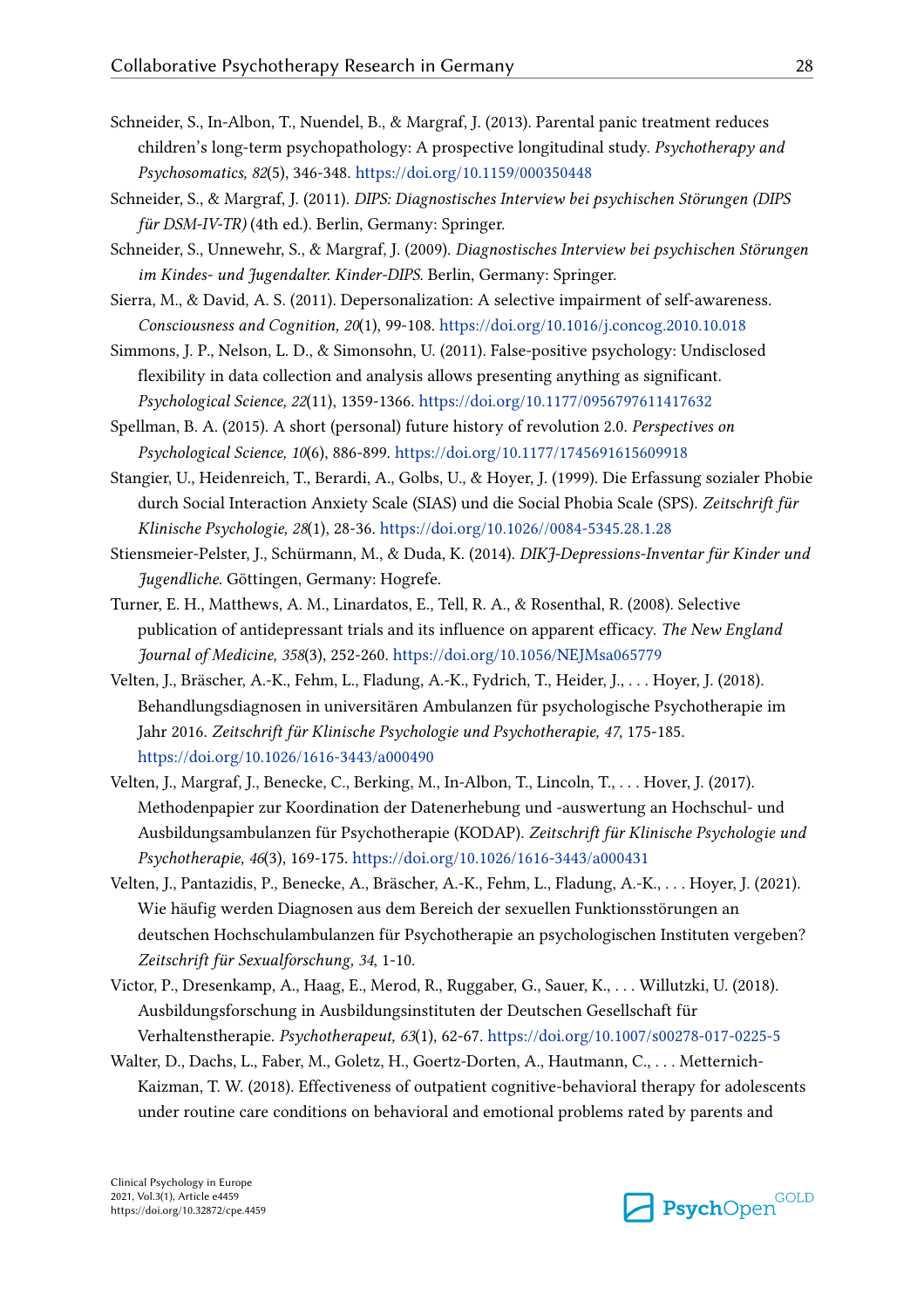- Schneider, S., In-Albon, T., Nuendel, B., & Margraf, J. (2013). Parental panic treatment reduces children's long-term psychopathology: A prospective longitudinal study. *Psychotherapy and Psychosomatics, 82*(5), 346-348. https://doi.org/10.1159/000350448
- Schneider, S., & Margraf, J. (2011). *DIPS: Diagnostisches Interview bei psychischen Störungen (DIPS für DSM-IV-TR)* (4th ed.). Berlin, Germany: Springer.
- Schneider, S., Unnewehr, S., & Margraf, J. (2009). *Diagnostisches Interview bei psychischen Störungen im Kindes- und Jugendalter. Kinder-DIPS*. Berlin, Germany: Springer.
- Sierra, M., & David, A. S. (2011). Depersonalization: A selective impairment of self-awareness. *Consciousness and Cognition, 20*(1), 99-108. https://doi.org/10.1016/j.concog.2010.10.018
- Simmons, J. P., Nelson, L. D., & Simonsohn, U. (2011). False-positive psychology: Undisclosed flexibility in data collection and analysis allows presenting anything as significant. *Psychological Science, 22*(11), 1359-1366. https://doi.org/10.1177/0956797611417632
- Spellman, B. A. (2015). A short (personal) future history of revolution 2.0. *Perspectives on Psychological Science, 10*(6), 886-899. https://doi.org/10.1177/1745691615609918
- Stangier, U., Heidenreich, T., Berardi, A., Golbs, U., & Hoyer, J. (1999). Die Erfassung sozialer Phobie durch Social Interaction Anxiety Scale (SIAS) und die Social Phobia Scale (SPS). *Zeitschrift für Klinische Psychologie, 28*(1), 28-36. https://doi.org/10.1026//0084-5345.28.1.28
- Stiensmeier-Pelster, J., Schürmann, M., & Duda, K. (2014). *DIKJ-Depressions-Inventar für Kinder und Jugendliche*. Göttingen, Germany: Hogrefe.
- Turner, E. H., Matthews, A. M., Linardatos, E., Tell, R. A., & Rosenthal, R. (2008). Selective publication of antidepressant trials and its influence on apparent efficacy. *The New England Journal of Medicine, 358*(3), 252-260. https://doi.org/10.1056/NEJMsa065779
- Velten, J., Bräscher, A.-K., Fehm, L., Fladung, A.-K., Fydrich, T., Heider, J., . . . Hoyer, J. (2018). Behandlungsdiagnosen in universitären Ambulanzen für psychologische Psychotherapie im Jahr 2016. *Zeitschrift für Klinische Psychologie und Psychotherapie, 47*, 175-185. https://doi.org/10.1026/1616-3443/a000490
- Velten, J., Margraf, J., Benecke, C., Berking, M., In-Albon, T., Lincoln, T., . . . Hover, J. (2017). Methodenpapier zur Koordination der Datenerhebung und -auswertung an Hochschul- und Ausbildungsambulanzen für Psychotherapie (KODAP). *Zeitschrift für Klinische Psychologie und Psychotherapie, 46*(3), 169-175. https://doi.org/10.1026/1616-3443/a000431
- Velten, J., Pantazidis, P., Benecke, A., Bräscher, A.-K., Fehm, L., Fladung, A.-K., . . . Hoyer, J. (2021). Wie häufig werden Diagnosen aus dem Bereich der sexuellen Funktionsstörungen an deutschen Hochschulambulanzen für Psychotherapie an psychologischen Instituten vergeben? *Zeitschrift für Sexualforschung, 34*, 1-10.
- Victor, P., Dresenkamp, A., Haag, E., Merod, R., Ruggaber, G., Sauer, K., . . . Willutzki, U. (2018). Ausbildungsforschung in Ausbildungsinstituten der Deutschen Gesellschaft für Verhaltenstherapie. *Psychotherapeut, 63*(1), 62-67. https://doi.org/10.1007/s00278-017-0225-5
- Walter, D., Dachs, L., Faber, M., Goletz, H., Goertz-Dorten, A., Hautmann, C., . . . Metternich-Kaizman, T. W. (2018). Effectiveness of outpatient cognitive-behavioral therapy for adolescents under routine care conditions on behavioral and emotional problems rated by parents and